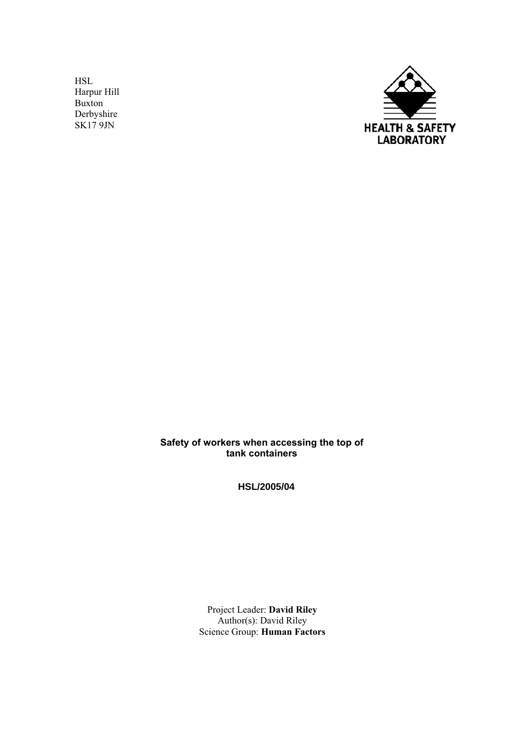HSL Harpur Hill Buxton Derbyshire SK17 9JN



**Safety of workers when accessing the top of tank containers** 

**HSL/2005/04**

Project Leader: **David Riley**  Author(s): David Riley Science Group: **Human Factors**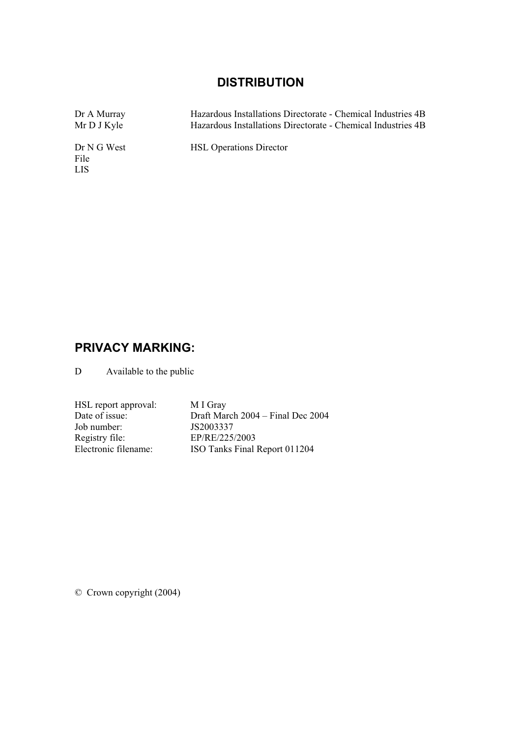# **DISTRIBUTION**

| Dr A Murray                 | Hazardous Installations Directorate - Chemical Industries 4B |
|-----------------------------|--------------------------------------------------------------|
| Mr D J Kyle                 | Hazardous Installations Directorate - Chemical Industries 4B |
| Dr N G West<br>File<br>LIS. | <b>HSL Operations Director</b>                               |

# **PRIVACY MARKING:**

D Available to the public

| HSL report approval: | M I Gray                            |
|----------------------|-------------------------------------|
| Date of issue:       | Draft March $2004 -$ Final Dec 2004 |
| Job number:          | JS2003337                           |
| Registry file:       | EP/RE/225/2003                      |
| Electronic filename: | ISO Tanks Final Report 011204       |

© Crown copyright (2004)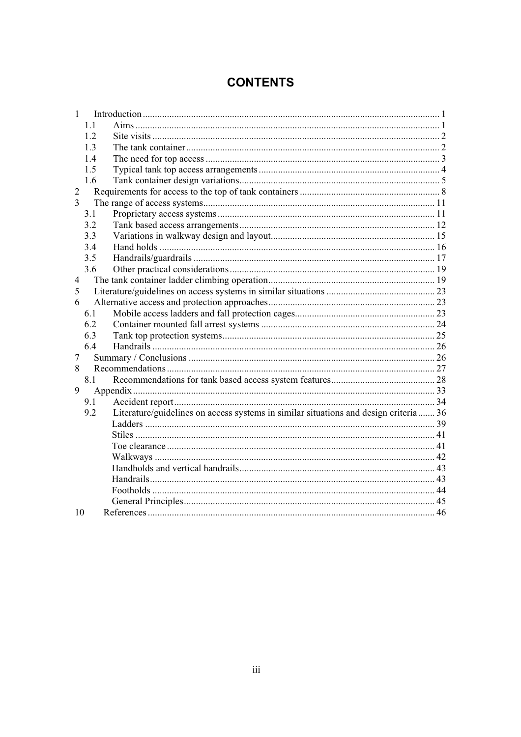# **CONTENTS**

|                | 1.1 |                                                                                      |  |
|----------------|-----|--------------------------------------------------------------------------------------|--|
|                | 1.2 |                                                                                      |  |
|                | 1.3 |                                                                                      |  |
|                | 1.4 |                                                                                      |  |
|                | 1.5 |                                                                                      |  |
|                | 1.6 |                                                                                      |  |
| 2              |     |                                                                                      |  |
| 3              |     |                                                                                      |  |
|                | 3.1 |                                                                                      |  |
|                | 3.2 |                                                                                      |  |
|                | 3.3 |                                                                                      |  |
|                | 3.4 |                                                                                      |  |
|                | 3.5 |                                                                                      |  |
|                | 3.6 |                                                                                      |  |
| $\overline{4}$ |     |                                                                                      |  |
| 5              |     |                                                                                      |  |
| 6              |     |                                                                                      |  |
|                | 6.1 |                                                                                      |  |
|                | 6.2 |                                                                                      |  |
|                | 6.3 |                                                                                      |  |
|                | 6.4 |                                                                                      |  |
| 7              |     |                                                                                      |  |
| 8              |     |                                                                                      |  |
|                | 8.1 |                                                                                      |  |
| 9              |     |                                                                                      |  |
|                | 9.1 |                                                                                      |  |
|                | 9.2 | Literature/guidelines on access systems in similar situations and design criteria 36 |  |
|                |     |                                                                                      |  |
|                |     |                                                                                      |  |
|                |     |                                                                                      |  |
|                |     |                                                                                      |  |
|                |     |                                                                                      |  |
|                |     |                                                                                      |  |
|                |     |                                                                                      |  |
|                |     |                                                                                      |  |
| 10             |     |                                                                                      |  |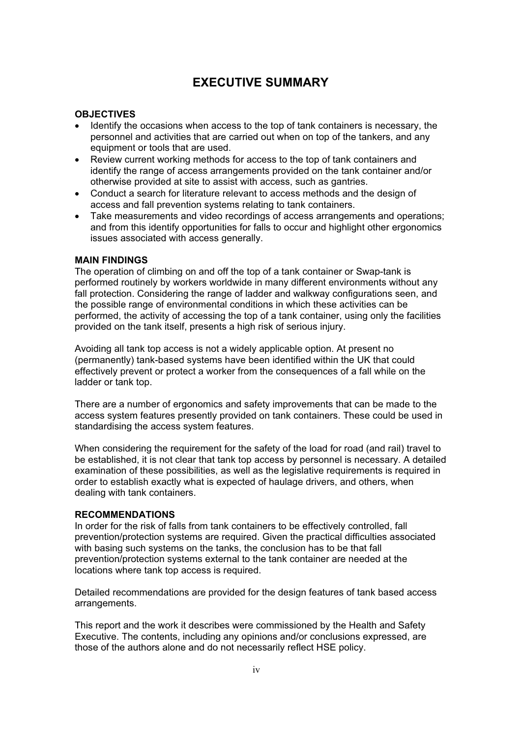# **EXECUTIVE SUMMARY**

#### **OBJECTIVES**

- Identify the occasions when access to the top of tank containers is necessary, the personnel and activities that are carried out when on top of the tankers, and any equipment or tools that are used.
- Review current working methods for access to the top of tank containers and identify the range of access arrangements provided on the tank container and/or otherwise provided at site to assist with access, such as gantries.
- Conduct a search for literature relevant to access methods and the design of access and fall prevention systems relating to tank containers.
- Take measurements and video recordings of access arrangements and operations; and from this identify opportunities for falls to occur and highlight other ergonomics issues associated with access generally.

#### **MAIN FINDINGS**

The operation of climbing on and off the top of a tank container or Swap-tank is performed routinely by workers worldwide in many different environments without any fall protection. Considering the range of ladder and walkway configurations seen, and the possible range of environmental conditions in which these activities can be performed, the activity of accessing the top of a tank container, using only the facilities provided on the tank itself, presents a high risk of serious injury.

Avoiding all tank top access is not a widely applicable option. At present no (permanently) tank-based systems have been identified within the UK that could effectively prevent or protect a worker from the consequences of a fall while on the ladder or tank top.

There are a number of ergonomics and safety improvements that can be made to the access system features presently provided on tank containers. These could be used in standardising the access system features.

When considering the requirement for the safety of the load for road (and rail) travel to be established, it is not clear that tank top access by personnel is necessary. A detailed examination of these possibilities, as well as the legislative requirements is required in order to establish exactly what is expected of haulage drivers, and others, when dealing with tank containers.

#### **RECOMMENDATIONS**

In order for the risk of falls from tank containers to be effectively controlled, fall prevention/protection systems are required. Given the practical difficulties associated with basing such systems on the tanks, the conclusion has to be that fall prevention/protection systems external to the tank container are needed at the locations where tank top access is required.

Detailed recommendations are provided for the design features of tank based access arrangements.

This report and the work it describes were commissioned by the Health and Safety Executive. The contents, including any opinions and/or conclusions expressed, are those of the authors alone and do not necessarily reflect HSE policy.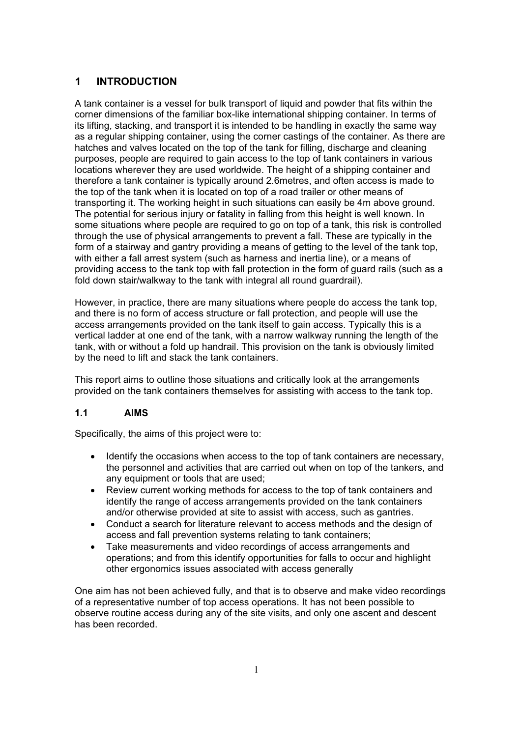# **1 INTRODUCTION**

A tank container is a vessel for bulk transport of liquid and powder that fits within the corner dimensions of the familiar box-like international shipping container. In terms of its lifting, stacking, and transport it is intended to be handling in exactly the same way as a regular shipping container, using the corner castings of the container. As there are hatches and valves located on the top of the tank for filling, discharge and cleaning purposes, people are required to gain access to the top of tank containers in various locations wherever they are used worldwide. The height of a shipping container and therefore a tank container is typically around 2.6metres, and often access is made to the top of the tank when it is located on top of a road trailer or other means of transporting it. The working height in such situations can easily be 4m above ground. The potential for serious injury or fatality in falling from this height is well known. In some situations where people are required to go on top of a tank, this risk is controlled through the use of physical arrangements to prevent a fall. These are typically in the form of a stairway and gantry providing a means of getting to the level of the tank top, with either a fall arrest system (such as harness and inertia line), or a means of providing access to the tank top with fall protection in the form of guard rails (such as a fold down stair/walkway to the tank with integral all round guardrail).

However, in practice, there are many situations where people do access the tank top, and there is no form of access structure or fall protection, and people will use the access arrangements provided on the tank itself to gain access. Typically this is a vertical ladder at one end of the tank, with a narrow walkway running the length of the tank, with or without a fold up handrail. This provision on the tank is obviously limited by the need to lift and stack the tank containers.

This report aims to outline those situations and critically look at the arrangements provided on the tank containers themselves for assisting with access to the tank top.

### **1.1 AIMS**

Specifically, the aims of this project were to:

- Identify the occasions when access to the top of tank containers are necessary, the personnel and activities that are carried out when on top of the tankers, and any equipment or tools that are used;
- Review current working methods for access to the top of tank containers and identify the range of access arrangements provided on the tank containers and/or otherwise provided at site to assist with access, such as gantries.
- Conduct a search for literature relevant to access methods and the design of access and fall prevention systems relating to tank containers;
- Take measurements and video recordings of access arrangements and operations; and from this identify opportunities for falls to occur and highlight other ergonomics issues associated with access generally

One aim has not been achieved fully, and that is to observe and make video recordings of a representative number of top access operations. It has not been possible to observe routine access during any of the site visits, and only one ascent and descent has been recorded.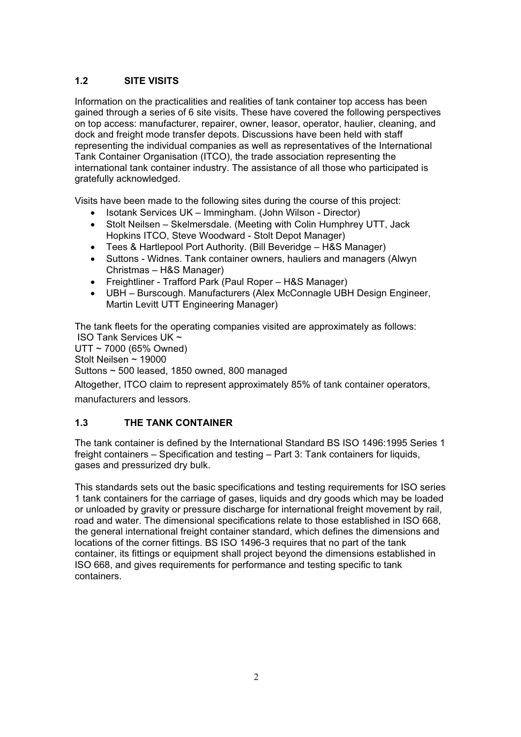# **1.2 SITE VISITS**

Information on the practicalities and realities of tank container top access has been gained through a series of 6 site visits. These have covered the following perspectives on top access: manufacturer, repairer, owner, leasor, operator, haulier, cleaning, and dock and freight mode transfer depots. Discussions have been held with staff representing the individual companies as well as representatives of the International Tank Container Organisation (ITCO), the trade association representing the international tank container industry. The assistance of all those who participated is gratefully acknowledged.

Visits have been made to the following sites during the course of this project:

- Isotank Services UK Immingham. (John Wilson Director)
- Stolt Neilsen Skelmersdale. (Meeting with Colin Humphrey UTT, Jack Hopkins ITCO, Steve Woodward - Stolt Depot Manager)
- Tees & Hartlepool Port Authority. (Bill Beveridge H&S Manager)
- Suttons Widnes. Tank container owners, hauliers and managers (Alwyn Christmas – H&S Manager)
- Freightliner Trafford Park (Paul Roper H&S Manager)
- UBH Burscough. Manufacturers (Alex McConnagle UBH Design Engineer, Martin Levitt UTT Engineering Manager)

The tank fleets for the operating companies visited are approximately as follows: ISO Tank Services UK ~

UTT ~ 7000 (65% Owned) Stolt Neilsen ~ 19000 Suttons ~ 500 leased, 1850 owned, 800 managed

Altogether, ITCO claim to represent approximately 85% of tank container operators,

manufacturers and lessors.

# **1.3 THE TANK CONTAINER**

The tank container is defined by the International Standard BS ISO 1496:1995 Series 1 freight containers – Specification and testing – Part 3: Tank containers for liquids, gases and pressurized dry bulk.

This standards sets out the basic specifications and testing requirements for ISO series 1 tank containers for the carriage of gases, liquids and dry goods which may be loaded or unloaded by gravity or pressure discharge for international freight movement by rail, road and water. The dimensional specifications relate to those established in ISO 668, the general international freight container standard, which defines the dimensions and locations of the corner fittings. BS ISO 1496-3 requires that no part of the tank container, its fittings or equipment shall project beyond the dimensions established in ISO 668, and gives requirements for performance and testing specific to tank containers.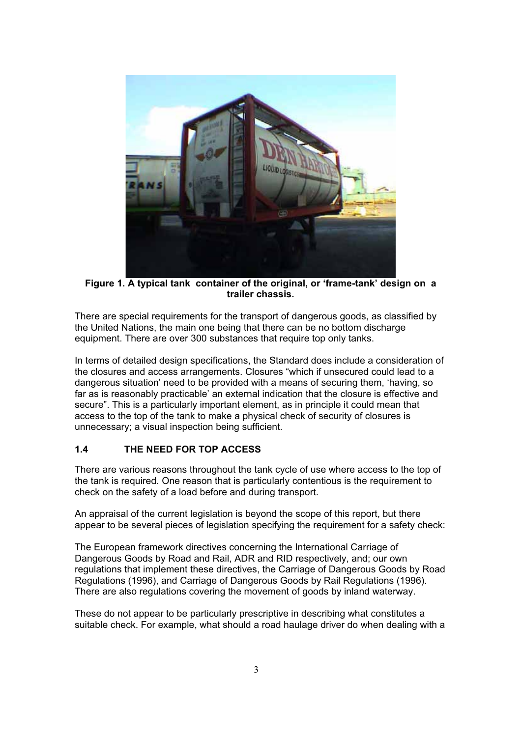

**Figure 1. A typical tank container of the original, or 'frame-tank' design on a trailer chassis.** 

There are special requirements for the transport of dangerous goods, as classified by the United Nations, the main one being that there can be no bottom discharge equipment. There are over 300 substances that require top only tanks.

In terms of detailed design specifications, the Standard does include a consideration of the closures and access arrangements. Closures "which if unsecured could lead to a dangerous situation' need to be provided with a means of securing them, 'having, so far as is reasonably practicable' an external indication that the closure is effective and secure". This is a particularly important element, as in principle it could mean that access to the top of the tank to make a physical check of security of closures is unnecessary; a visual inspection being sufficient.

### **1.4 THE NEED FOR TOP ACCESS**

There are various reasons throughout the tank cycle of use where access to the top of the tank is required. One reason that is particularly contentious is the requirement to check on the safety of a load before and during transport.

An appraisal of the current legislation is beyond the scope of this report, but there appear to be several pieces of legislation specifying the requirement for a safety check:

The European framework directives concerning the International Carriage of Dangerous Goods by Road and Rail, ADR and RID respectively, and; our own regulations that implement these directives, the Carriage of Dangerous Goods by Road Regulations (1996), and Carriage of Dangerous Goods by Rail Regulations (1996). There are also regulations covering the movement of goods by inland waterway.

These do not appear to be particularly prescriptive in describing what constitutes a suitable check. For example, what should a road haulage driver do when dealing with a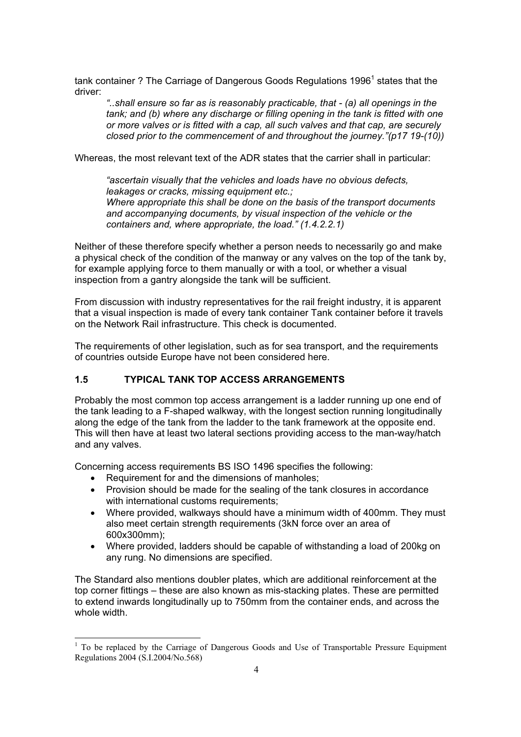tank container ? The Carriage of Dangerous Goods Regulations 1996 $^{\rm 1}$  states that the driver:

*"..shall ensure so far as is reasonably practicable, that - (a) all openings in the tank; and (b) where any discharge or filling opening in the tank is fitted with one or more valves or is fitted with a cap, all such valves and that cap, are securely closed prior to the commencement of and throughout the journey."(p17 19-(10))* 

Whereas, the most relevant text of the ADR states that the carrier shall in particular:

*"ascertain visually that the vehicles and loads have no obvious defects, leakages or cracks, missing equipment etc.; Where appropriate this shall be done on the basis of the transport documents and accompanying documents, by visual inspection of the vehicle or the containers and, where appropriate, the load." (1.4.2.2.1)*

Neither of these therefore specify whether a person needs to necessarily go and make a physical check of the condition of the manway or any valves on the top of the tank by, for example applying force to them manually or with a tool, or whether a visual inspection from a gantry alongside the tank will be sufficient.

From discussion with industry representatives for the rail freight industry, it is apparent that a visual inspection is made of every tank container Tank container before it travels on the Network Rail infrastructure. This check is documented.

The requirements of other legislation, such as for sea transport, and the requirements of countries outside Europe have not been considered here.

### **1.5 TYPICAL TANK TOP ACCESS ARRANGEMENTS**

Probably the most common top access arrangement is a ladder running up one end of the tank leading to a F-shaped walkway, with the longest section running longitudinally along the edge of the tank from the ladder to the tank framework at the opposite end. This will then have at least two lateral sections providing access to the man-way/hatch and any valves.

Concerning access requirements BS ISO 1496 specifies the following:

- Requirement for and the dimensions of manholes;
- Provision should be made for the sealing of the tank closures in accordance with international customs requirements:
- Where provided, walkways should have a minimum width of 400mm. They must also meet certain strength requirements (3kN force over an area of 600x300mm);
- Where provided, ladders should be capable of withstanding a load of 200kg on any rung. No dimensions are specified.

The Standard also mentions doubler plates, which are additional reinforcement at the top corner fittings – these are also known as mis-stacking plates. These are permitted to extend inwards longitudinally up to 750mm from the container ends, and across the whole width.

<sup>&</sup>lt;sup>1</sup> To be replaced by the Carriage of Dangerous Goods and Use of Transportable Pressure Equipment Regulations 2004 (S.I.2004/No.568)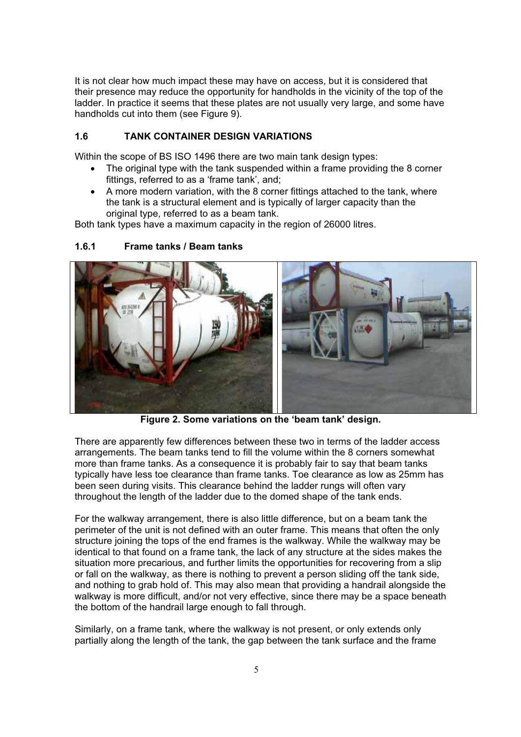It is not clear how much impact these may have on access, but it is considered that their presence may reduce the opportunity for handholds in the vicinity of the top of the ladder. In practice it seems that these plates are not usually very large, and some have handholds cut into them (see Figure 9).

### **1.6 TANK CONTAINER DESIGN VARIATIONS**

Within the scope of BS ISO 1496 there are two main tank design types:

- The original type with the tank suspended within a frame providing the 8 corner fittings, referred to as a 'frame tank', and;
- A more modern variation, with the 8 corner fittings attached to the tank, where the tank is a structural element and is typically of larger capacity than the original type, referred to as a beam tank.

Both tank types have a maximum capacity in the region of 26000 litres.



# **1.6.1 Frame tanks / Beam tanks**

**Figure 2. Some variations on the 'beam tank' design.** 

There are apparently few differences between these two in terms of the ladder access arrangements. The beam tanks tend to fill the volume within the 8 corners somewhat more than frame tanks. As a consequence it is probably fair to say that beam tanks typically have less toe clearance than frame tanks. Toe clearance as low as 25mm has been seen during visits. This clearance behind the ladder rungs will often vary throughout the length of the ladder due to the domed shape of the tank ends.

For the walkway arrangement, there is also little difference, but on a beam tank the perimeter of the unit is not defined with an outer frame. This means that often the only structure joining the tops of the end frames is the walkway. While the walkway may be identical to that found on a frame tank, the lack of any structure at the sides makes the situation more precarious, and further limits the opportunities for recovering from a slip or fall on the walkway, as there is nothing to prevent a person sliding off the tank side, and nothing to grab hold of. This may also mean that providing a handrail alongside the walkway is more difficult, and/or not very effective, since there may be a space beneath the bottom of the handrail large enough to fall through.

Similarly, on a frame tank, where the walkway is not present, or only extends only partially along the length of the tank, the gap between the tank surface and the frame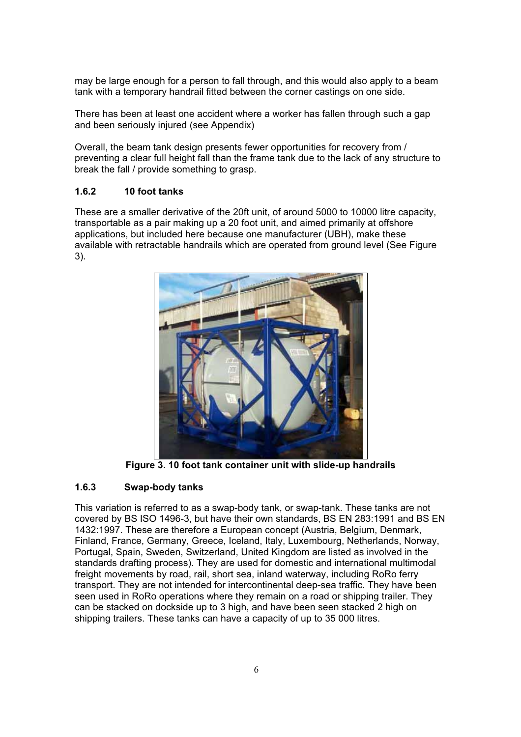may be large enough for a person to fall through, and this would also apply to a beam tank with a temporary handrail fitted between the corner castings on one side.

There has been at least one accident where a worker has fallen through such a gap and been seriously injured (see Appendix)

Overall, the beam tank design presents fewer opportunities for recovery from / preventing a clear full height fall than the frame tank due to the lack of any structure to break the fall / provide something to grasp.

### **1.6.2 10 foot tanks**

These are a smaller derivative of the 20ft unit, of around 5000 to 10000 litre capacity, transportable as a pair making up a 20 foot unit, and aimed primarily at offshore applications, but included here because one manufacturer (UBH), make these available with retractable handrails which are operated from ground level (See Figure 3).



**Figure 3. 10 foot tank container unit with slide-up handrails** 

### **1.6.3 Swap-body tanks**

This variation is referred to as a swap-body tank, or swap-tank. These tanks are not covered by BS ISO 1496-3, but have their own standards, BS EN 283:1991 and BS EN 1432:1997. These are therefore a European concept (Austria, Belgium, Denmark, Finland, France, Germany, Greece, Iceland, Italy, Luxembourg, Netherlands, Norway, Portugal, Spain, Sweden, Switzerland, United Kingdom are listed as involved in the standards drafting process). They are used for domestic and international multimodal freight movements by road, rail, short sea, inland waterway, including RoRo ferry transport. They are not intended for intercontinental deep-sea traffic. They have been seen used in RoRo operations where they remain on a road or shipping trailer. They can be stacked on dockside up to 3 high, and have been seen stacked 2 high on shipping trailers. These tanks can have a capacity of up to 35 000 litres.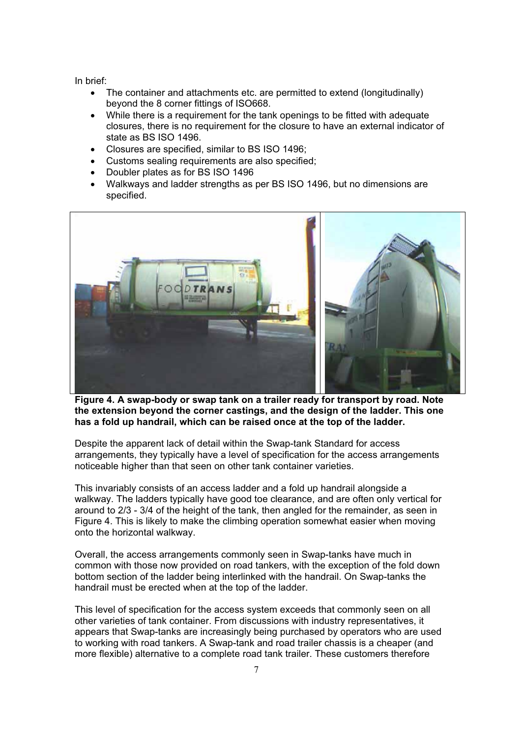In brief:

- The container and attachments etc. are permitted to extend (longitudinally) beyond the 8 corner fittings of ISO668.
- While there is a requirement for the tank openings to be fitted with adequate closures, there is no requirement for the closure to have an external indicator of state as BS ISO 1496.
- Closures are specified, similar to BS ISO 1496:
- Customs sealing requirements are also specified;
- Doubler plates as for BS ISO 1496
- Walkways and ladder strengths as per BS ISO 1496, but no dimensions are specified.



**Figure 4. A swap-body or swap tank on a trailer ready for transport by road. Note the extension beyond the corner castings, and the design of the ladder. This one has a fold up handrail, which can be raised once at the top of the ladder.** 

Despite the apparent lack of detail within the Swap-tank Standard for access arrangements, they typically have a level of specification for the access arrangements noticeable higher than that seen on other tank container varieties.

This invariably consists of an access ladder and a fold up handrail alongside a walkway. The ladders typically have good toe clearance, and are often only vertical for around to 2/3 - 3/4 of the height of the tank, then angled for the remainder, as seen in Figure 4. This is likely to make the climbing operation somewhat easier when moving onto the horizontal walkway.

Overall, the access arrangements commonly seen in Swap-tanks have much in common with those now provided on road tankers, with the exception of the fold down bottom section of the ladder being interlinked with the handrail. On Swap-tanks the handrail must be erected when at the top of the ladder.

This level of specification for the access system exceeds that commonly seen on all other varieties of tank container. From discussions with industry representatives, it appears that Swap-tanks are increasingly being purchased by operators who are used to working with road tankers. A Swap-tank and road trailer chassis is a cheaper (and more flexible) alternative to a complete road tank trailer. These customers therefore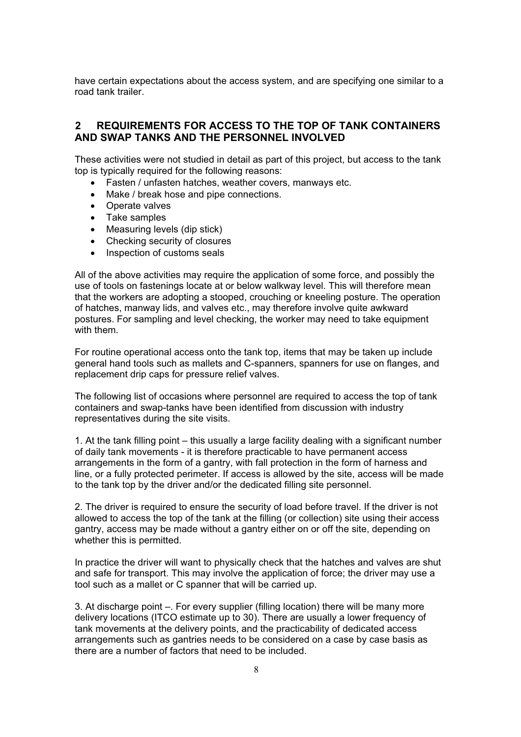have certain expectations about the access system, and are specifying one similar to a road tank trailer.

### **2 REQUIREMENTS FOR ACCESS TO THE TOP OF TANK CONTAINERS AND SWAP TANKS AND THE PERSONNEL INVOLVED**

These activities were not studied in detail as part of this project, but access to the tank top is typically required for the following reasons:

- Fasten / unfasten hatches, weather covers, manways etc.
- Make / break hose and pipe connections.
- Operate valves
- Take samples
- $\bullet$  Measuring levels (dip stick)
- Checking security of closures
- Inspection of customs seals

All of the above activities may require the application of some force, and possibly the use of tools on fastenings locate at or below walkway level. This will therefore mean that the workers are adopting a stooped, crouching or kneeling posture. The operation of hatches, manway lids, and valves etc., may therefore involve quite awkward postures. For sampling and level checking, the worker may need to take equipment with them.

For routine operational access onto the tank top, items that may be taken up include general hand tools such as mallets and C-spanners, spanners for use on flanges, and replacement drip caps for pressure relief valves.

The following list of occasions where personnel are required to access the top of tank containers and swap-tanks have been identified from discussion with industry representatives during the site visits.

1. At the tank filling point – this usually a large facility dealing with a significant number of daily tank movements - it is therefore practicable to have permanent access arrangements in the form of a gantry, with fall protection in the form of harness and line, or a fully protected perimeter. If access is allowed by the site, access will be made to the tank top by the driver and/or the dedicated filling site personnel.

2. The driver is required to ensure the security of load before travel. If the driver is not allowed to access the top of the tank at the filling (or collection) site using their access gantry, access may be made without a gantry either on or off the site, depending on whether this is permitted.

In practice the driver will want to physically check that the hatches and valves are shut and safe for transport. This may involve the application of force; the driver may use a tool such as a mallet or C spanner that will be carried up.

3. At discharge point –. For every supplier (filling location) there will be many more delivery locations (ITCO estimate up to 30). There are usually a lower frequency of tank movements at the delivery points, and the practicability of dedicated access arrangements such as gantries needs to be considered on a case by case basis as there are a number of factors that need to be included.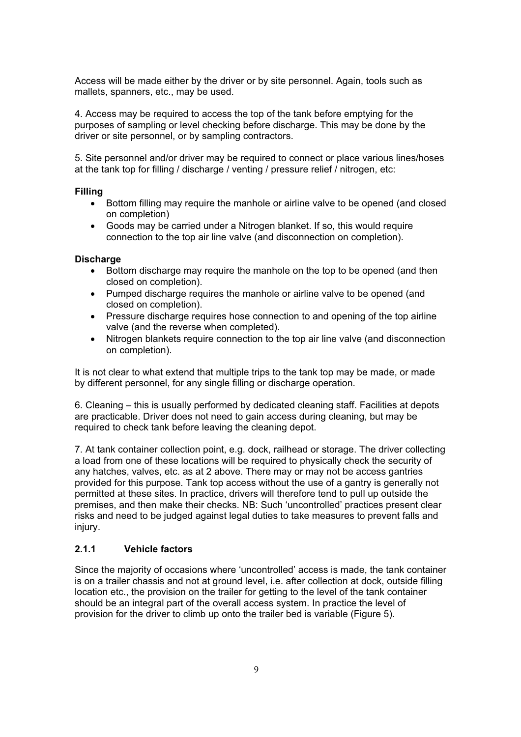Access will be made either by the driver or by site personnel. Again, tools such as mallets, spanners, etc., may be used.

4. Access may be required to access the top of the tank before emptying for the purposes of sampling or level checking before discharge. This may be done by the driver or site personnel, or by sampling contractors.

5. Site personnel and/or driver may be required to connect or place various lines/hoses at the tank top for filling / discharge / venting / pressure relief / nitrogen, etc:

#### **Filling**

- Bottom filling may require the manhole or airline valve to be opened (and closed on completion)
- Goods may be carried under a Nitrogen blanket. If so, this would require connection to the top air line valve (and disconnection on completion).

#### **Discharge**

- Bottom discharge may require the manhole on the top to be opened (and then closed on completion).
- Pumped discharge requires the manhole or airline valve to be opened (and closed on completion).
- Pressure discharge requires hose connection to and opening of the top airline valve (and the reverse when completed).
- Nitrogen blankets require connection to the top air line valve (and disconnection on completion).

It is not clear to what extend that multiple trips to the tank top may be made, or made by different personnel, for any single filling or discharge operation.

6. Cleaning – this is usually performed by dedicated cleaning staff. Facilities at depots are practicable. Driver does not need to gain access during cleaning, but may be required to check tank before leaving the cleaning depot.

7. At tank container collection point, e.g. dock, railhead or storage. The driver collecting a load from one of these locations will be required to physically check the security of any hatches, valves, etc. as at 2 above. There may or may not be access gantries provided for this purpose. Tank top access without the use of a gantry is generally not permitted at these sites. In practice, drivers will therefore tend to pull up outside the premises, and then make their checks. NB: Such 'uncontrolled' practices present clear risks and need to be judged against legal duties to take measures to prevent falls and injury.

#### **2.1.1 Vehicle factors**

Since the majority of occasions where 'uncontrolled' access is made, the tank container is on a trailer chassis and not at ground level, i.e. after collection at dock, outside filling location etc., the provision on the trailer for getting to the level of the tank container should be an integral part of the overall access system. In practice the level of provision for the driver to climb up onto the trailer bed is variable (Figure 5).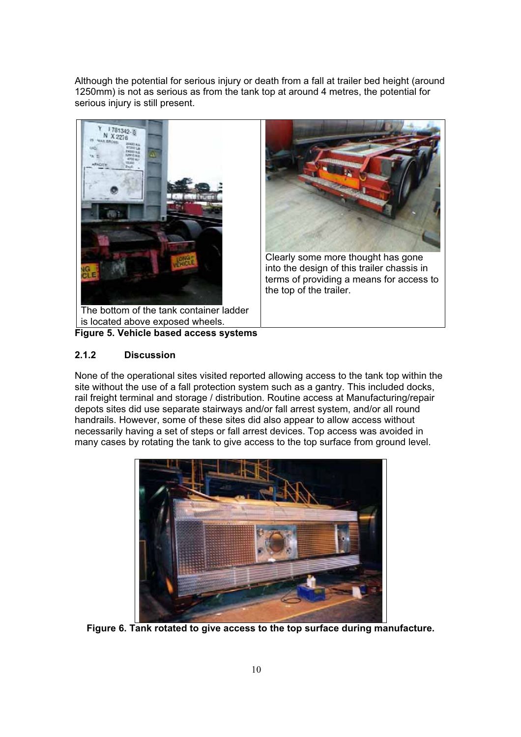Although the potential for serious injury or death from a fall at trailer bed height (around 1250mm) is not as serious as from the tank top at around 4 metres, the potential for serious injury is still present.



**Figure 5. Vehicle based access systems**

# **2.1.2 Discussion**

None of the operational sites visited reported allowing access to the tank top within the site without the use of a fall protection system such as a gantry. This included docks, rail freight terminal and storage / distribution. Routine access at Manufacturing/repair depots sites did use separate stairways and/or fall arrest system, and/or all round handrails. However, some of these sites did also appear to allow access without necessarily having a set of steps or fall arrest devices. Top access was avoided in many cases by rotating the tank to give access to the top surface from ground level.



**Figure 6. Tank rotated to give access to the top surface during manufacture.**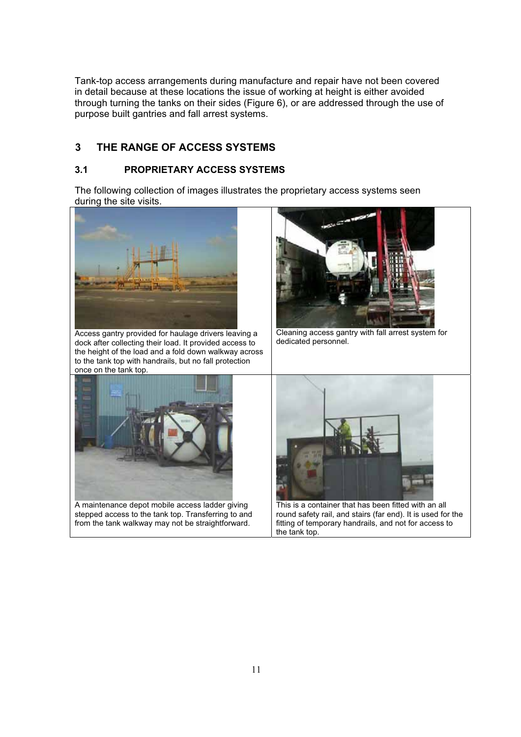Tank-top access arrangements during manufacture and repair have not been covered in detail because at these locations the issue of working at height is either avoided through turning the tanks on their sides (Figure 6), or are addressed through the use of purpose built gantries and fall arrest systems.

# **3 THE RANGE OF ACCESS SYSTEMS**

### **3.1 PROPRIETARY ACCESS SYSTEMS**

The following collection of images illustrates the proprietary access systems seen during the site visits.

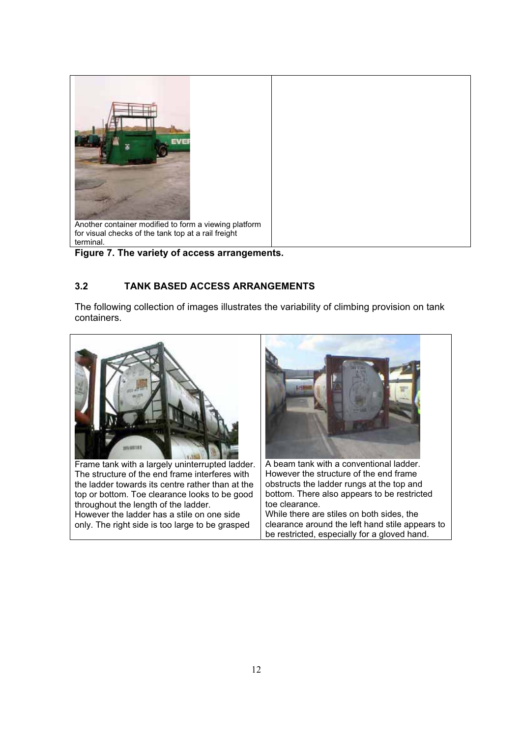

**Figure 7. The variety of access arrangements.** 

# **3.2 TANK BASED ACCESS ARRANGEMENTS**

The following collection of images illustrates the variability of climbing provision on tank containers.

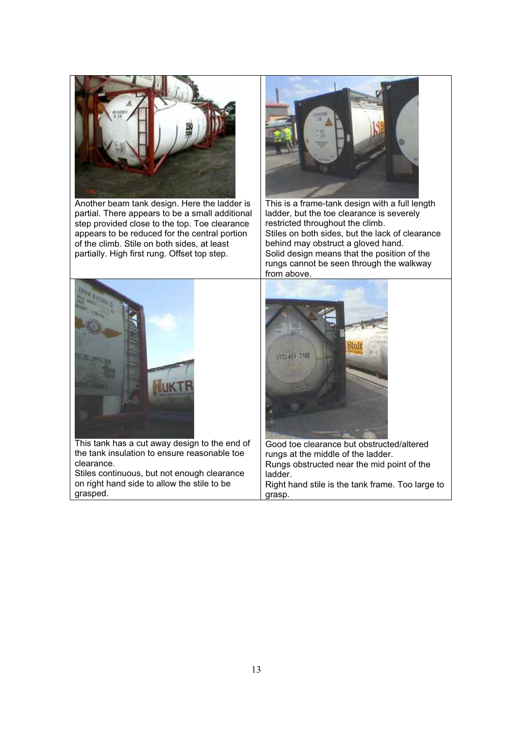

Another beam tank design. Here the ladder is partial. There appears to be a small additional step provided close to the top. Toe clearance appears to be reduced for the central portion of the climb. Stile on both sides, at least partially. High first rung. Offset top step.



This is a frame-tank design with a full length ladder, but the toe clearance is severely restricted throughout the climb. Stiles on both sides, but the lack of clearance behind may obstruct a gloved hand. Solid design means that the position of the rungs cannot be seen through the walkway from above.



This tank has a cut away design to the end of the tank insulation to ensure reasonable toe clearance.

Stiles continuous, but not enough clearance on right hand side to allow the stile to be grasped.



Good toe clearance but obstructed/altered rungs at the middle of the ladder. Rungs obstructed near the mid point of the ladder. Right hand stile is the tank frame. Too large to grasp.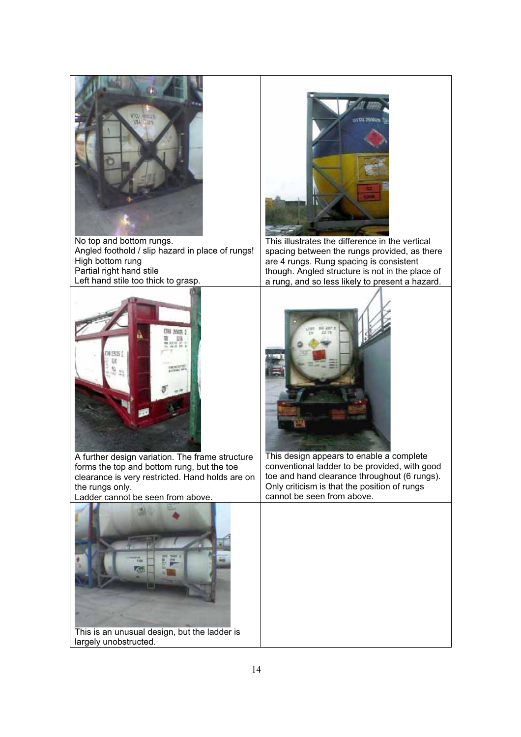

No top and bottom rungs. Angled foothold / slip hazard in place of rungs! High bottom rung Partial right hand stile Left hand stile too thick to grasp.



This illustrates the difference in the vertical spacing between the rungs provided, as there are 4 rungs. Rung spacing is consistent though. Angled structure is not in the place of a rung, and so less likely to present a hazard.



A further design variation. The frame structure forms the top and bottom rung, but the toe clearance is very restricted. Hand holds are on the rungs only.

Ladder cannot be seen from above.



This design appears to enable a complete conventional ladder to be provided, with good toe and hand clearance throughout (6 rungs). Only criticism is that the position of rungs cannot be seen from above.



This is an unusual design, but the ladder is largely unobstructed.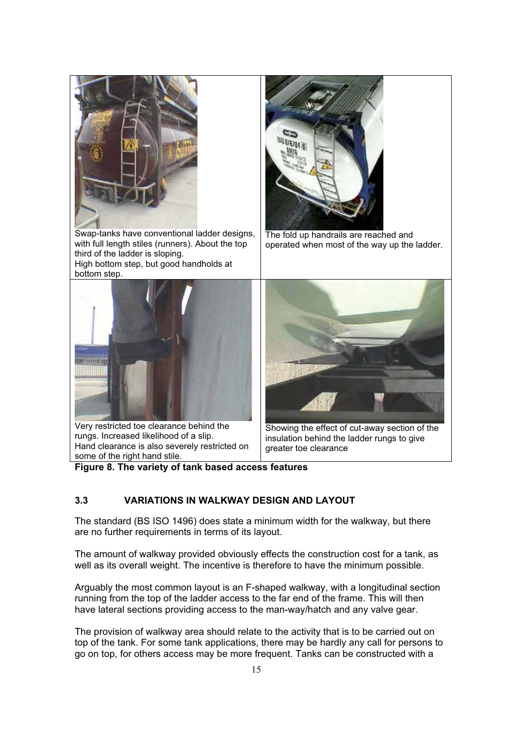

**Figure 8. The variety of tank based access features** 

# **3.3 VARIATIONS IN WALKWAY DESIGN AND LAYOUT**

The standard (BS ISO 1496) does state a minimum width for the walkway, but there are no further requirements in terms of its layout.

The amount of walkway provided obviously effects the construction cost for a tank, as well as its overall weight. The incentive is therefore to have the minimum possible.

Arguably the most common layout is an F-shaped walkway, with a longitudinal section running from the top of the ladder access to the far end of the frame. This will then have lateral sections providing access to the man-way/hatch and any valve gear.

The provision of walkway area should relate to the activity that is to be carried out on top of the tank. For some tank applications, there may be hardly any call for persons to go on top, for others access may be more frequent. Tanks can be constructed with a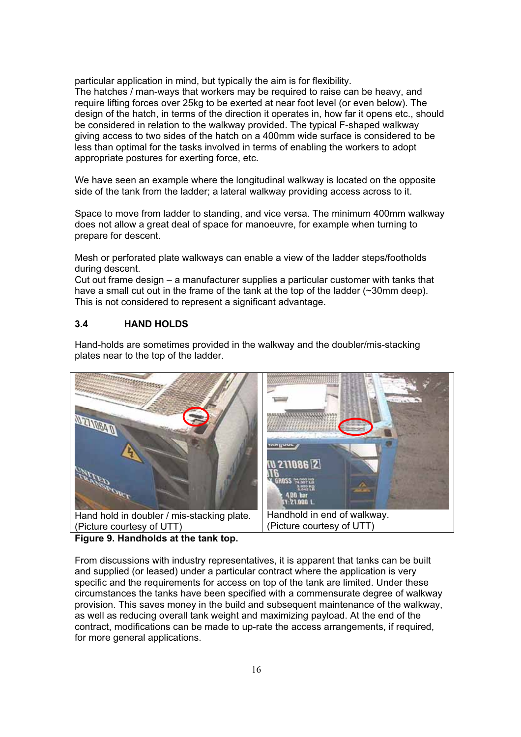particular application in mind, but typically the aim is for flexibility. The hatches / man-ways that workers may be required to raise can be heavy, and require lifting forces over 25kg to be exerted at near foot level (or even below). The design of the hatch, in terms of the direction it operates in, how far it opens etc., should be considered in relation to the walkway provided. The typical F-shaped walkway giving access to two sides of the hatch on a 400mm wide surface is considered to be less than optimal for the tasks involved in terms of enabling the workers to adopt appropriate postures for exerting force, etc.

We have seen an example where the longitudinal walkway is located on the opposite side of the tank from the ladder; a lateral walkway providing access across to it.

Space to move from ladder to standing, and vice versa. The minimum 400mm walkway does not allow a great deal of space for manoeuvre, for example when turning to prepare for descent.

Mesh or perforated plate walkways can enable a view of the ladder steps/footholds during descent.

Cut out frame design – a manufacturer supplies a particular customer with tanks that have a small cut out in the frame of the tank at the top of the ladder (~30mm deep). This is not considered to represent a significant advantage.

#### **3.4 HAND HOLDS**

Hand-holds are sometimes provided in the walkway and the doubler/mis-stacking plates near to the top of the ladder.



**Figure 9. Handholds at the tank top.** 

From discussions with industry representatives, it is apparent that tanks can be built and supplied (or leased) under a particular contract where the application is very specific and the requirements for access on top of the tank are limited. Under these circumstances the tanks have been specified with a commensurate degree of walkway provision. This saves money in the build and subsequent maintenance of the walkway, as well as reducing overall tank weight and maximizing payload. At the end of the contract, modifications can be made to up-rate the access arrangements, if required, for more general applications.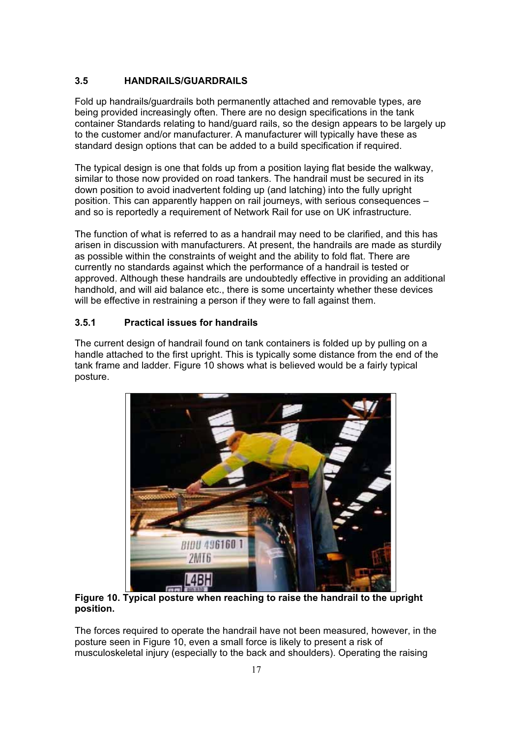# **3.5 HANDRAILS/GUARDRAILS**

Fold up handrails/guardrails both permanently attached and removable types, are being provided increasingly often. There are no design specifications in the tank container Standards relating to hand/guard rails, so the design appears to be largely up to the customer and/or manufacturer. A manufacturer will typically have these as standard design options that can be added to a build specification if required.

The typical design is one that folds up from a position laying flat beside the walkway, similar to those now provided on road tankers. The handrail must be secured in its down position to avoid inadvertent folding up (and latching) into the fully upright position. This can apparently happen on rail journeys, with serious consequences – and so is reportedly a requirement of Network Rail for use on UK infrastructure.

The function of what is referred to as a handrail may need to be clarified, and this has arisen in discussion with manufacturers. At present, the handrails are made as sturdily as possible within the constraints of weight and the ability to fold flat. There are currently no standards against which the performance of a handrail is tested or approved. Although these handrails are undoubtedly effective in providing an additional handhold, and will aid balance etc., there is some uncertainty whether these devices will be effective in restraining a person if they were to fall against them.

# **3.5.1 Practical issues for handrails**

The current design of handrail found on tank containers is folded up by pulling on a handle attached to the first upright. This is typically some distance from the end of the tank frame and ladder. Figure 10 shows what is believed would be a fairly typical posture.



**Figure 10. Typical posture when reaching to raise the handrail to the upright position.**

The forces required to operate the handrail have not been measured, however, in the posture seen in Figure 10, even a small force is likely to present a risk of musculoskeletal injury (especially to the back and shoulders). Operating the raising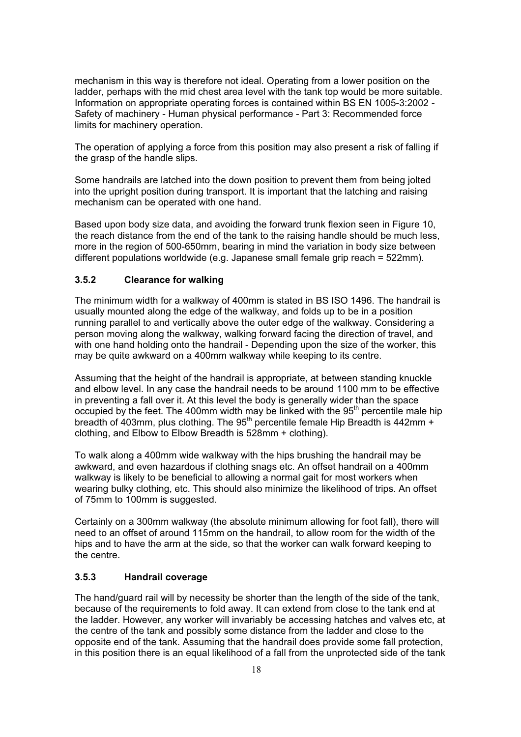mechanism in this way is therefore not ideal. Operating from a lower position on the ladder, perhaps with the mid chest area level with the tank top would be more suitable. Information on appropriate operating forces is contained within BS EN 1005-3:2002 *-*  Safety of machinery - Human physical performance - Part 3: Recommended force limits for machinery operation.

The operation of applying a force from this position may also present a risk of falling if the grasp of the handle slips.

Some handrails are latched into the down position to prevent them from being jolted into the upright position during transport. It is important that the latching and raising mechanism can be operated with one hand.

Based upon body size data, and avoiding the forward trunk flexion seen in Figure 10, the reach distance from the end of the tank to the raising handle should be much less, more in the region of 500-650mm, bearing in mind the variation in body size between different populations worldwide (e.g. Japanese small female grip reach = 522mm).

#### **3.5.2 Clearance for walking**

The minimum width for a walkway of 400mm is stated in BS ISO 1496. The handrail is usually mounted along the edge of the walkway, and folds up to be in a position running parallel to and vertically above the outer edge of the walkway. Considering a person moving along the walkway, walking forward facing the direction of travel, and with one hand holding onto the handrail - Depending upon the size of the worker, this may be quite awkward on a 400mm walkway while keeping to its centre.

Assuming that the height of the handrail is appropriate, at between standing knuckle and elbow level. In any case the handrail needs to be around 1100 mm to be effective in preventing a fall over it. At this level the body is generally wider than the space occupied by the feet. The 400mm width may be linked with the  $95<sup>th</sup>$  percentile male hip breadth of 403mm, plus clothing. The 95<sup>th</sup> percentile female Hip Breadth is 442mm + clothing, and Elbow to Elbow Breadth is 528mm + clothing).

To walk along a 400mm wide walkway with the hips brushing the handrail may be awkward, and even hazardous if clothing snags etc. An offset handrail on a 400mm walkway is likely to be beneficial to allowing a normal gait for most workers when wearing bulky clothing, etc. This should also minimize the likelihood of trips. An offset of 75mm to 100mm is suggested.

Certainly on a 300mm walkway (the absolute minimum allowing for foot fall), there will need to an offset of around 115mm on the handrail, to allow room for the width of the hips and to have the arm at the side, so that the worker can walk forward keeping to the centre.

#### **3.5.3 Handrail coverage**

The hand/guard rail will by necessity be shorter than the length of the side of the tank, because of the requirements to fold away. It can extend from close to the tank end at the ladder. However, any worker will invariably be accessing hatches and valves etc, at the centre of the tank and possibly some distance from the ladder and close to the opposite end of the tank. Assuming that the handrail does provide some fall protection, in this position there is an equal likelihood of a fall from the unprotected side of the tank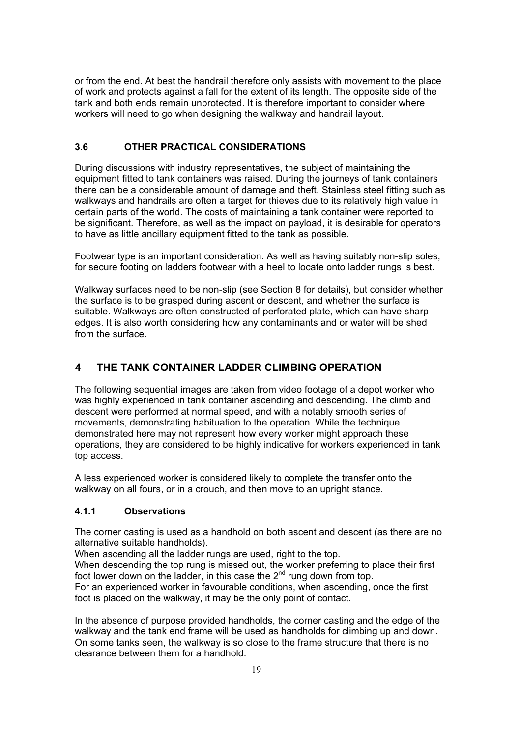or from the end. At best the handrail therefore only assists with movement to the place of work and protects against a fall for the extent of its length. The opposite side of the tank and both ends remain unprotected. It is therefore important to consider where workers will need to go when designing the walkway and handrail layout.

# **3.6 OTHER PRACTICAL CONSIDERATIONS**

During discussions with industry representatives, the subject of maintaining the equipment fitted to tank containers was raised. During the journeys of tank containers there can be a considerable amount of damage and theft. Stainless steel fitting such as walkways and handrails are often a target for thieves due to its relatively high value in certain parts of the world. The costs of maintaining a tank container were reported to be significant. Therefore, as well as the impact on payload, it is desirable for operators to have as little ancillary equipment fitted to the tank as possible.

Footwear type is an important consideration. As well as having suitably non-slip soles, for secure footing on ladders footwear with a heel to locate onto ladder rungs is best.

Walkway surfaces need to be non-slip (see Section 8 for details), but consider whether the surface is to be grasped during ascent or descent, and whether the surface is suitable. Walkways are often constructed of perforated plate, which can have sharp edges. It is also worth considering how any contaminants and or water will be shed from the surface.

# **4 THE TANK CONTAINER LADDER CLIMBING OPERATION**

The following sequential images are taken from video footage of a depot worker who was highly experienced in tank container ascending and descending. The climb and descent were performed at normal speed, and with a notably smooth series of movements, demonstrating habituation to the operation. While the technique demonstrated here may not represent how every worker might approach these operations, they are considered to be highly indicative for workers experienced in tank top access.

A less experienced worker is considered likely to complete the transfer onto the walkway on all fours, or in a crouch, and then move to an upright stance.

### **4.1.1 Observations**

The corner casting is used as a handhold on both ascent and descent (as there are no alternative suitable handholds).

When ascending all the ladder rungs are used, right to the top.

When descending the top rung is missed out, the worker preferring to place their first foot lower down on the ladder, in this case the 2nd rung down from top.

For an experienced worker in favourable conditions, when ascending, once the first foot is placed on the walkway, it may be the only point of contact.

In the absence of purpose provided handholds, the corner casting and the edge of the walkway and the tank end frame will be used as handholds for climbing up and down. On some tanks seen, the walkway is so close to the frame structure that there is no clearance between them for a handhold.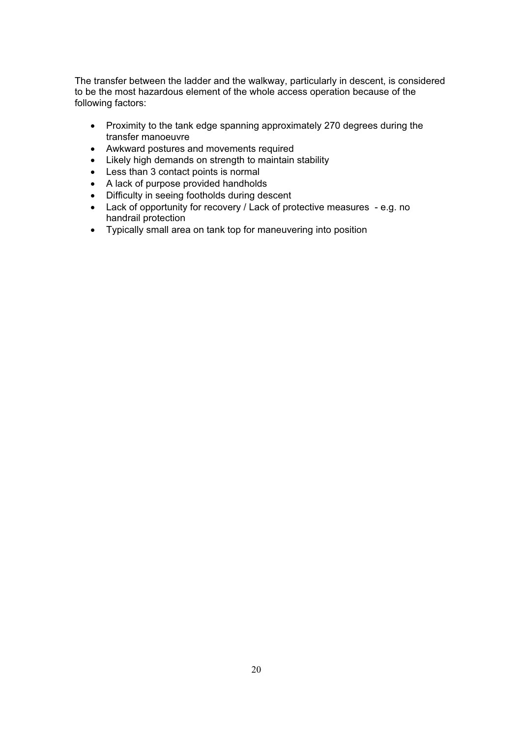The transfer between the ladder and the walkway, particularly in descent, is considered to be the most hazardous element of the whole access operation because of the following factors:

- Proximity to the tank edge spanning approximately 270 degrees during the transfer manoeuvre
- Awkward postures and movements required
- Likely high demands on strength to maintain stability
- Less than 3 contact points is normal
- A lack of purpose provided handholds
- Difficulty in seeing footholds during descent
- Lack of opportunity for recovery / Lack of protective measures e.g. no handrail protection
- Typically small area on tank top for maneuvering into position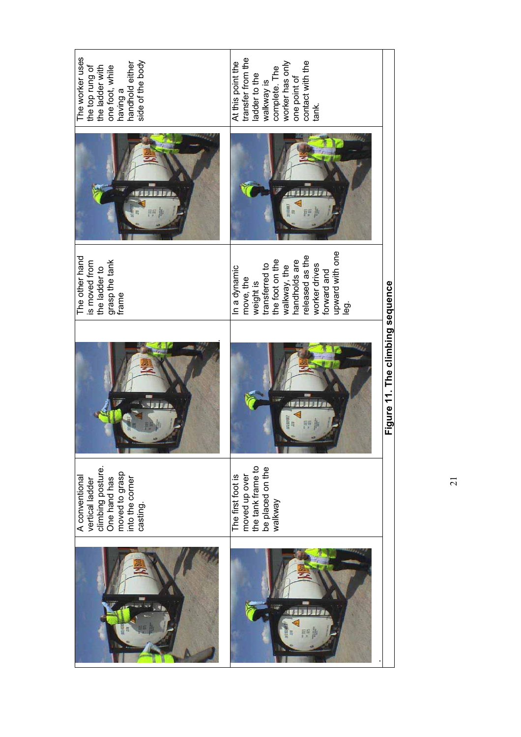| The worker uses<br>side of the body<br>handhold either<br>the top rung of<br>the ladder with<br>one foot, while<br>having a | transfer from the<br>contact with the<br>At this point the<br>complete. The<br>worker has only<br>ladder to the<br>one point of<br>walkway is<br>tank.                                          |                                  |
|-----------------------------------------------------------------------------------------------------------------------------|-------------------------------------------------------------------------------------------------------------------------------------------------------------------------------------------------|----------------------------------|
|                                                                                                                             |                                                                                                                                                                                                 |                                  |
| The other hand<br>grasp the tank<br>frame<br>is moved from<br>the ladder to                                                 | upward with one<br>released as the<br>transferred to<br>the foot on the<br>walkway, the<br>handholds are<br>worker drives<br>In a dynamic<br>forward and<br>move, the<br>weight is<br><u>ର୍</u> |                                  |
|                                                                                                                             |                                                                                                                                                                                                 | Figure 11. The climbing sequence |
| climbing posture.<br>One hand has<br>moved to grasp<br>into the corner<br>A conventional<br>vertical ladder<br>casting.     | moved up over<br>the tank frame to<br>be placed on the<br>walkway<br>The first foot is                                                                                                          |                                  |
|                                                                                                                             |                                                                                                                                                                                                 |                                  |

 $\overline{21}$ 21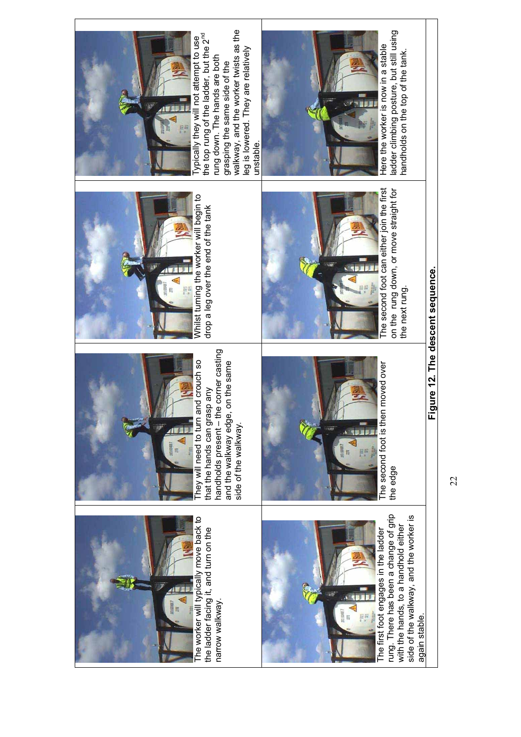

The worker will typically move back to The worker will typically move back to the ladder facing it, and turn on the<br>narrow walkway. the ladder facing it, and turn on the narrow walkway.



handholds present - the corner casting handholds present – the corner casting They will need to turn and crouch so They will need to turn and crouch so and the walkway edge, on the same and the walkway edge, on the same that the hands can grasp any that the hands can grasp any side of the walkway. side of the walkway.



rung. There has been a change of grip<br>with the hands, to a handhold either rung. There has been a change of grip side of the walkway, and the worker is side of the walkway, and the worker is with the hands, to a handhold either The first foot engages in the ladder The first foot engages in the ladder again stable. again stable.



The second foot is then moved over The second foot is then moved over<br>the edge



Whilst turning the worker will begin to begin to drop a leg over the end of the tank drop a leg over the end of the tank Whilst turning the worker will



on the rung down, or move straight for<br>the next rung. on the rung down, or move straight for the next rung.



walkway, and the worker twists as the walkway, and the worker twists as the the top rung of the ladder, but the 2<sup>nd</sup> Typically they will not attempt to use the top rung of the ladder, but the 2<sup>nd</sup> ypically they will not attempt to use eg is lowered. They are relatively leg is lowered. They are relatively rung down. The hands are both rung down. The hands are both grasping the same side of the grasping the same side of the unstable. unstable.



ladder climbing posture, but still using<br>handholds on the top of the tank. ladder climbing posture, but still using handholds on the top of the tank.

22

 $22$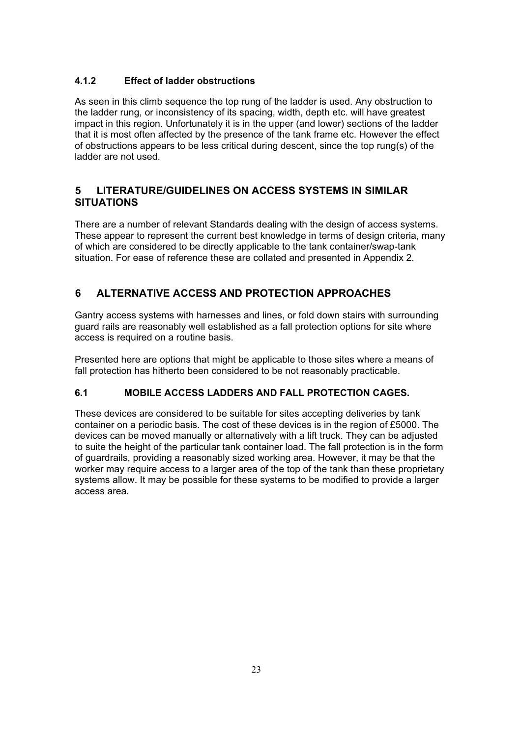# **4.1.2 Effect of ladder obstructions**

As seen in this climb sequence the top rung of the ladder is used. Any obstruction to the ladder rung, or inconsistency of its spacing, width, depth etc. will have greatest impact in this region. Unfortunately it is in the upper (and lower) sections of the ladder that it is most often affected by the presence of the tank frame etc. However the effect of obstructions appears to be less critical during descent, since the top rung(s) of the ladder are not used.

# **5 LITERATURE/GUIDELINES ON ACCESS SYSTEMS IN SIMILAR SITUATIONS**

There are a number of relevant Standards dealing with the design of access systems. These appear to represent the current best knowledge in terms of design criteria, many of which are considered to be directly applicable to the tank container/swap-tank situation. For ease of reference these are collated and presented in Appendix 2.

# **6 ALTERNATIVE ACCESS AND PROTECTION APPROACHES**

Gantry access systems with harnesses and lines, or fold down stairs with surrounding guard rails are reasonably well established as a fall protection options for site where access is required on a routine basis.

Presented here are options that might be applicable to those sites where a means of fall protection has hitherto been considered to be not reasonably practicable.

# **6.1 MOBILE ACCESS LADDERS AND FALL PROTECTION CAGES.**

These devices are considered to be suitable for sites accepting deliveries by tank container on a periodic basis. The cost of these devices is in the region of £5000. The devices can be moved manually or alternatively with a lift truck. They can be adjusted to suite the height of the particular tank container load. The fall protection is in the form of guardrails, providing a reasonably sized working area. However, it may be that the worker may require access to a larger area of the top of the tank than these proprietary systems allow. It may be possible for these systems to be modified to provide a larger access area.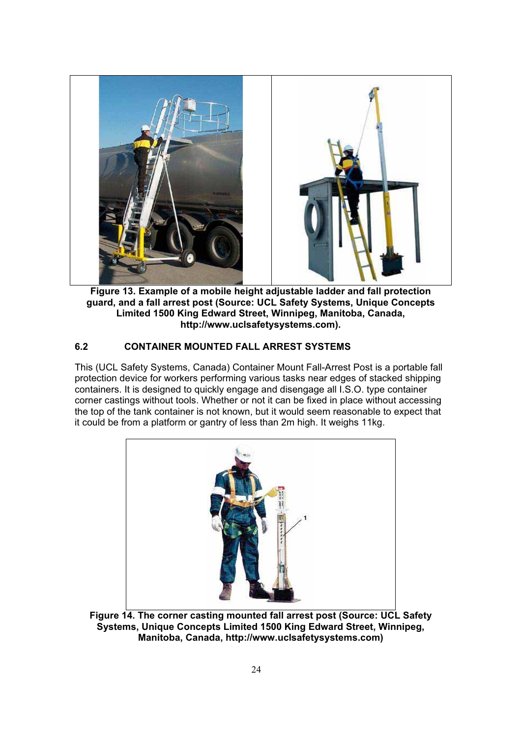

**Figure 13. Example of a mobile height adjustable ladder and fall protection guard, and a fall arrest post (Source: UCL Safety Systems, Unique Concepts Limited 1500 King Edward Street, Winnipeg, Manitoba, Canada, http://www.uclsafetysystems.com).**

# **6.2 CONTAINER MOUNTED FALL ARREST SYSTEMS**

This (UCL Safety Systems, Canada) Container Mount Fall-Arrest Post is a portable fall protection device for workers performing various tasks near edges of stacked shipping containers. It is designed to quickly engage and disengage all I.S.O. type container corner castings without tools. Whether or not it can be fixed in place without accessing the top of the tank container is not known, but it would seem reasonable to expect that it could be from a platform or gantry of less than 2m high. It weighs 11kg.



**Figure 14. The corner casting mounted fall arrest post (Source: UCL Safety Systems, Unique Concepts Limited 1500 King Edward Street, Winnipeg, Manitoba, Canada, http://www.uclsafetysystems.com)**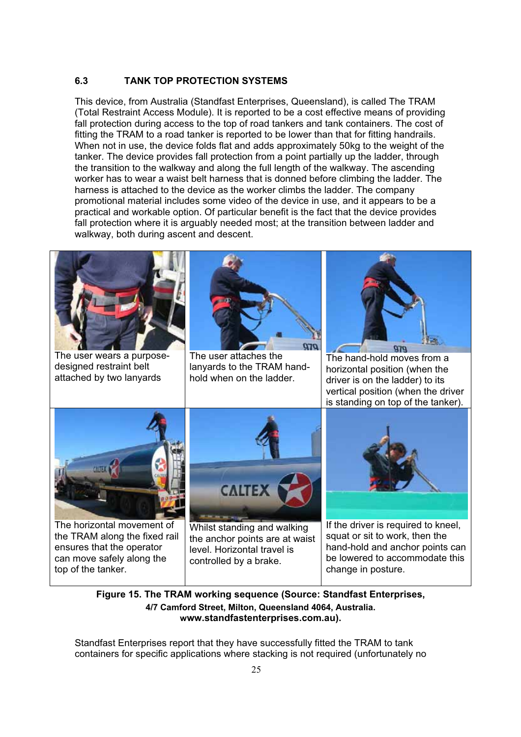### **6.3 TANK TOP PROTECTION SYSTEMS**

This device, from Australia (Standfast Enterprises, Queensland), is called The TRAM (Total Restraint Access Module). It is reported to be a cost effective means of providing fall protection during access to the top of road tankers and tank containers. The cost of fitting the TRAM to a road tanker is reported to be lower than that for fitting handrails. When not in use, the device folds flat and adds approximately 50kg to the weight of the tanker. The device provides fall protection from a point partially up the ladder, through the transition to the walkway and along the full length of the walkway. The ascending worker has to wear a waist belt harness that is donned before climbing the ladder. The harness is attached to the device as the worker climbs the ladder. The company promotional material includes some video of the device in use, and it appears to be a practical and workable option. Of particular benefit is the fact that the device provides fall protection where it is arguably needed most; at the transition between ladder and walkway, both during ascent and descent.



**Figure 15. The TRAM working sequence (Source: Standfast Enterprises, 4/7 Camford Street, Milton, Queensland 4064, Australia. www.standfastenterprises.com.au).**

Standfast Enterprises report that they have successfully fitted the TRAM to tank containers for specific applications where stacking is not required (unfortunately no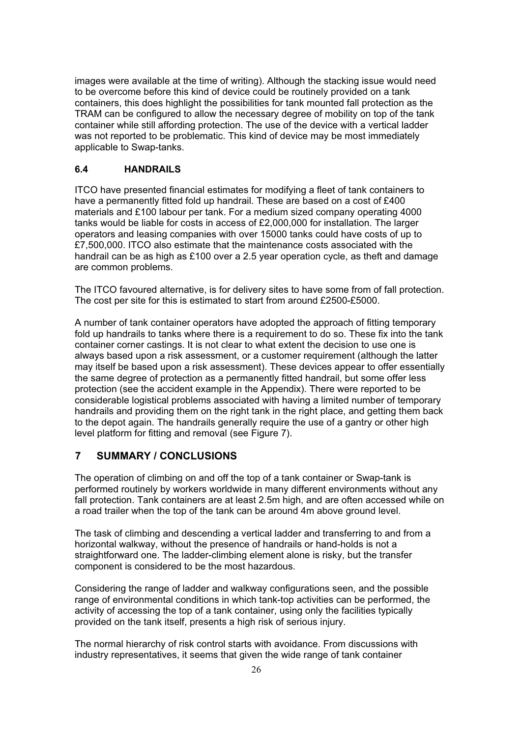images were available at the time of writing). Although the stacking issue would need to be overcome before this kind of device could be routinely provided on a tank containers, this does highlight the possibilities for tank mounted fall protection as the TRAM can be configured to allow the necessary degree of mobility on top of the tank container while still affording protection. The use of the device with a vertical ladder was not reported to be problematic. This kind of device may be most immediately applicable to Swap-tanks.

#### **6.4 HANDRAILS**

ITCO have presented financial estimates for modifying a fleet of tank containers to have a permanently fitted fold up handrail. These are based on a cost of £400 materials and £100 labour per tank. For a medium sized company operating 4000 tanks would be liable for costs in access of £2,000,000 for installation. The larger operators and leasing companies with over 15000 tanks could have costs of up to £7,500,000. ITCO also estimate that the maintenance costs associated with the handrail can be as high as £100 over a 2.5 year operation cycle, as theft and damage are common problems.

The ITCO favoured alternative, is for delivery sites to have some from of fall protection. The cost per site for this is estimated to start from around £2500-£5000.

A number of tank container operators have adopted the approach of fitting temporary fold up handrails to tanks where there is a requirement to do so. These fix into the tank container corner castings. It is not clear to what extent the decision to use one is always based upon a risk assessment, or a customer requirement (although the latter may itself be based upon a risk assessment). These devices appear to offer essentially the same degree of protection as a permanently fitted handrail, but some offer less protection (see the accident example in the Appendix). There were reported to be considerable logistical problems associated with having a limited number of temporary handrails and providing them on the right tank in the right place, and getting them back to the depot again. The handrails generally require the use of a gantry or other high level platform for fitting and removal (see Figure 7).

# **7 SUMMARY / CONCLUSIONS**

The operation of climbing on and off the top of a tank container or Swap-tank is performed routinely by workers worldwide in many different environments without any fall protection. Tank containers are at least 2.5m high, and are often accessed while on a road trailer when the top of the tank can be around 4m above ground level.

The task of climbing and descending a vertical ladder and transferring to and from a horizontal walkway, without the presence of handrails or hand-holds is not a straightforward one. The ladder-climbing element alone is risky, but the transfer component is considered to be the most hazardous.

Considering the range of ladder and walkway configurations seen, and the possible range of environmental conditions in which tank-top activities can be performed, the activity of accessing the top of a tank container, using only the facilities typically provided on the tank itself, presents a high risk of serious injury.

The normal hierarchy of risk control starts with avoidance. From discussions with industry representatives, it seems that given the wide range of tank container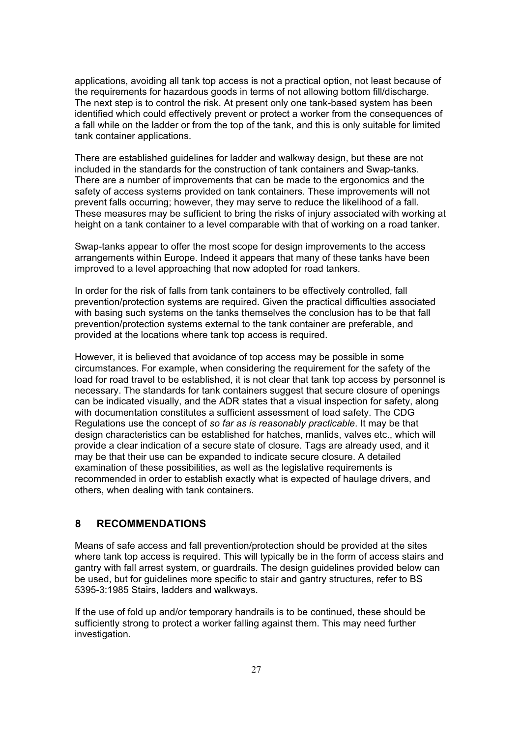applications, avoiding all tank top access is not a practical option, not least because of the requirements for hazardous goods in terms of not allowing bottom fill/discharge. The next step is to control the risk. At present only one tank-based system has been identified which could effectively prevent or protect a worker from the consequences of a fall while on the ladder or from the top of the tank, and this is only suitable for limited tank container applications.

There are established guidelines for ladder and walkway design, but these are not included in the standards for the construction of tank containers and Swap-tanks. There are a number of improvements that can be made to the ergonomics and the safety of access systems provided on tank containers. These improvements will not prevent falls occurring; however, they may serve to reduce the likelihood of a fall. These measures may be sufficient to bring the risks of injury associated with working at height on a tank container to a level comparable with that of working on a road tanker.

Swap-tanks appear to offer the most scope for design improvements to the access arrangements within Europe. Indeed it appears that many of these tanks have been improved to a level approaching that now adopted for road tankers.

In order for the risk of falls from tank containers to be effectively controlled, fall prevention/protection systems are required. Given the practical difficulties associated with basing such systems on the tanks themselves the conclusion has to be that fall prevention/protection systems external to the tank container are preferable, and provided at the locations where tank top access is required.

However, it is believed that avoidance of top access may be possible in some circumstances. For example, when considering the requirement for the safety of the load for road travel to be established, it is not clear that tank top access by personnel is necessary. The standards for tank containers suggest that secure closure of openings can be indicated visually, and the ADR states that a visual inspection for safety, along with documentation constitutes a sufficient assessment of load safety. The CDG Regulations use the concept of *so far as is reasonably practicable*. It may be that design characteristics can be established for hatches, manlids, valves etc., which will provide a clear indication of a secure state of closure. Tags are already used, and it may be that their use can be expanded to indicate secure closure. A detailed examination of these possibilities, as well as the legislative requirements is recommended in order to establish exactly what is expected of haulage drivers, and others, when dealing with tank containers.

### **8 RECOMMENDATIONS**

Means of safe access and fall prevention/protection should be provided at the sites where tank top access is required. This will typically be in the form of access stairs and gantry with fall arrest system, or guardrails. The design guidelines provided below can be used, but for guidelines more specific to stair and gantry structures, refer to BS 5395-3:1985 Stairs, ladders and walkways.

If the use of fold up and/or temporary handrails is to be continued, these should be sufficiently strong to protect a worker falling against them. This may need further investigation.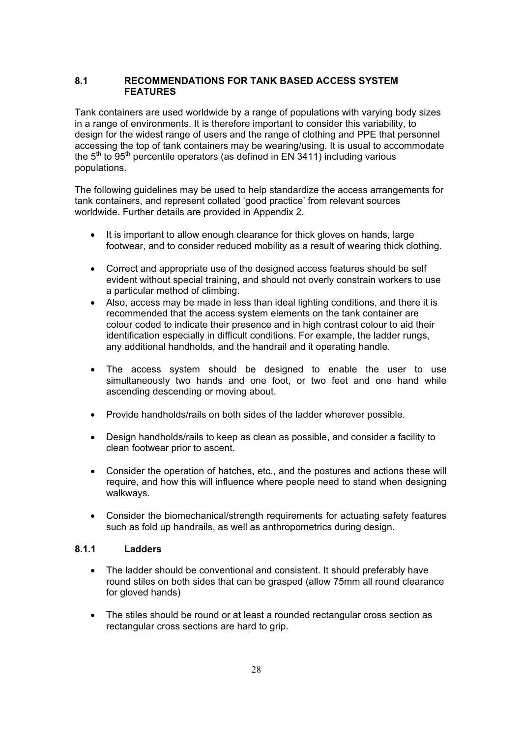#### **8.1 RECOMMENDATIONS FOR TANK BASED ACCESS SYSTEM FEATURES**

Tank containers are used worldwide by a range of populations with varying body sizes in a range of environments. It is therefore important to consider this variability, to design for the widest range of users and the range of clothing and PPE that personnel accessing the top of tank containers may be wearing/using. It is usual to accommodate the  $5<sup>th</sup>$  to  $95<sup>th</sup>$  percentile operators (as defined in EN 3411) including various populations.

The following guidelines may be used to help standardize the access arrangements for tank containers, and represent collated 'good practice' from relevant sources worldwide. Further details are provided in Appendix 2.

- It is important to allow enough clearance for thick gloves on hands, large footwear, and to consider reduced mobility as a result of wearing thick clothing.
- Correct and appropriate use of the designed access features should be self evident without special training, and should not overly constrain workers to use a particular method of climbing.
- Also, access may be made in less than ideal lighting conditions, and there it is recommended that the access system elements on the tank container are colour coded to indicate their presence and in high contrast colour to aid their identification especially in difficult conditions. For example, the ladder rungs, any additional handholds, and the handrail and it operating handle.
- The access system should be designed to enable the user to use simultaneously two hands and one foot, or two feet and one hand while ascending descending or moving about.
- Provide handholds/rails on both sides of the ladder wherever possible.
- Design handholds/rails to keep as clean as possible, and consider a facility to clean footwear prior to ascent.
- Consider the operation of hatches, etc., and the postures and actions these will require, and how this will influence where people need to stand when designing walkways.
- Consider the biomechanical/strength requirements for actuating safety features such as fold up handrails, as well as anthropometrics during design.

#### **8.1.1 Ladders**

- The ladder should be conventional and consistent. It should preferably have round stiles on both sides that can be grasped (allow 75mm all round clearance for gloved hands)
- The stiles should be round or at least a rounded rectangular cross section as rectangular cross sections are hard to grip.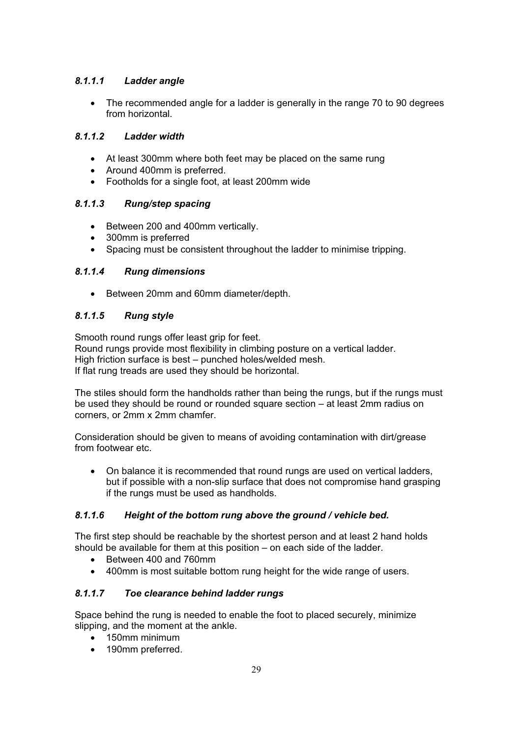# *8.1.1.1 Ladder angle*

• The recommended angle for a ladder is generally in the range 70 to 90 degrees from horizontal*.*

# *8.1.1.2 Ladder width*

- At least 300mm where both feet may be placed on the same rung
- Around 400mm is preferred.
- Footholds for a single foot, at least 200mm wide

# *8.1.1.3 Rung/step spacing*

- Between 200 and 400mm vertically.
- 300mm is preferred
- Spacing must be consistent throughout the ladder to minimise tripping.

# *8.1.1.4 Rung dimensions*

• Between 20mm and 60mm diameter/depth.

# *8.1.1.5 Rung style*

Smooth round rungs offer least grip for feet. Round rungs provide most flexibility in climbing posture on a vertical ladder. High friction surface is best – punched holes/welded mesh. If flat rung treads are used they should be horizontal.

The stiles should form the handholds rather than being the rungs, but if the rungs must be used they should be round or rounded square section – at least 2mm radius on corners, or 2mm x 2mm chamfer.

Consideration should be given to means of avoiding contamination with dirt/grease from footwear etc.

• On balance it is recommended that round rungs are used on vertical ladders, but if possible with a non-slip surface that does not compromise hand grasping if the rungs must be used as handholds.

# *8.1.1.6 Height of the bottom rung above the ground / vehicle bed.*

The first step should be reachable by the shortest person and at least 2 hand holds should be available for them at this position – on each side of the ladder.

- Between 400 and 760mm
- 400mm is most suitable bottom rung height for the wide range of users.

# *8.1.1.7 Toe clearance behind ladder rungs*

Space behind the rung is needed to enable the foot to placed securely, minimize slipping, and the moment at the ankle.

- 150mm minimum
- 190mm preferred.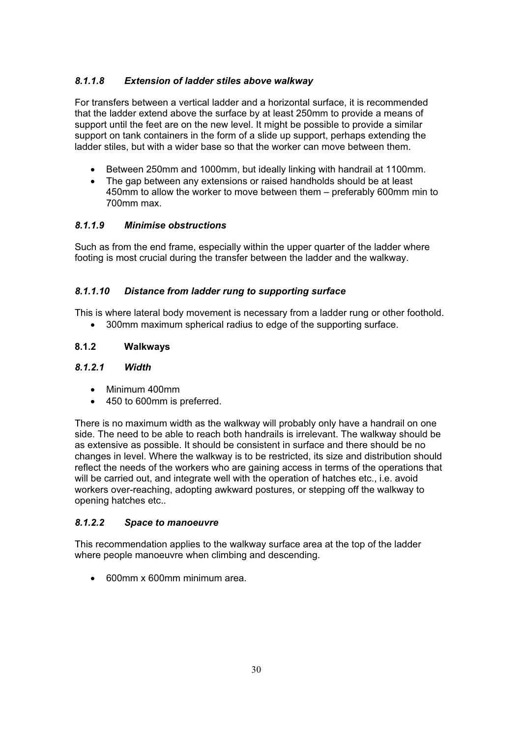# *8.1.1.8 Extension of ladder stiles above walkway*

For transfers between a vertical ladder and a horizontal surface, it is recommended that the ladder extend above the surface by at least 250mm to provide a means of support until the feet are on the new level. It might be possible to provide a similar support on tank containers in the form of a slide up support, perhaps extending the ladder stiles, but with a wider base so that the worker can move between them.

- Between 250mm and 1000mm, but ideally linking with handrail at 1100mm.
- The gap between any extensions or raised handholds should be at least 450mm to allow the worker to move between them – preferably 600mm min to 700mm max.

### *8.1.1.9 Minimise obstructions*

Such as from the end frame, especially within the upper quarter of the ladder where footing is most crucial during the transfer between the ladder and the walkway.

### *8.1.1.10 Distance from ladder rung to supporting surface*

This is where lateral body movement is necessary from a ladder rung or other foothold.

• 300mm maximum spherical radius to edge of the supporting surface.

### **8.1.2 Walkways**

#### *8.1.2.1 Width*

- $\bullet$  Minimum 400mm
- 450 to 600mm is preferred.

There is no maximum width as the walkway will probably only have a handrail on one side. The need to be able to reach both handrails is irrelevant. The walkway should be as extensive as possible. It should be consistent in surface and there should be no changes in level. Where the walkway is to be restricted, its size and distribution should reflect the needs of the workers who are gaining access in terms of the operations that will be carried out, and integrate well with the operation of hatches etc., i.e. avoid workers over-reaching, adopting awkward postures, or stepping off the walkway to opening hatches etc..

### *8.1.2.2 Space to manoeuvre*

This recommendation applies to the walkway surface area at the top of the ladder where people manoeuvre when climbing and descending.

x 600mm x 600mm minimum area.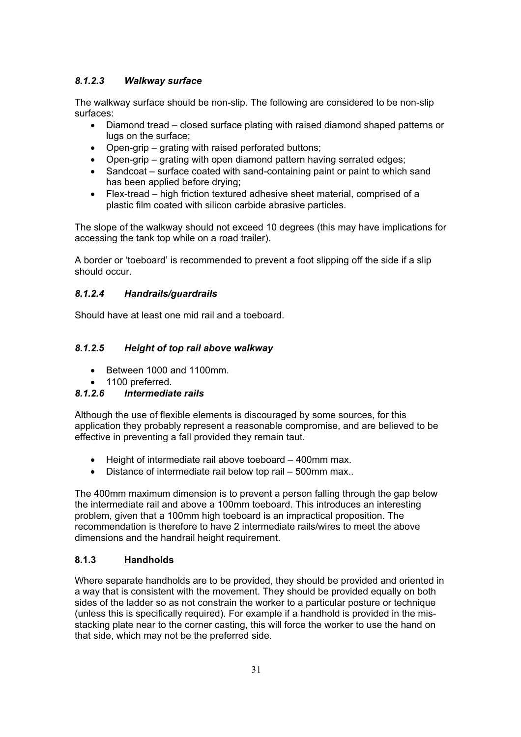# *8.1.2.3 Walkway surface*

The walkway surface should be non-slip. The following are considered to be non-slip surfaces:

- Diamond tread closed surface plating with raised diamond shaped patterns or lugs on the surface;
- Open-grip grating with raised perforated buttons;
- $\bullet$  Open-grip grating with open diamond pattern having serrated edges;
- Sandcoat surface coated with sand-containing paint or paint to which sand has been applied before drying;
- $\bullet$  Flex-tread high friction textured adhesive sheet material, comprised of a plastic film coated with silicon carbide abrasive particles.

The slope of the walkway should not exceed 10 degrees (this may have implications for accessing the tank top while on a road trailer).

A border or 'toeboard' is recommended to prevent a foot slipping off the side if a slip should occur.

### *8.1.2.4 Handrails/guardrails*

Should have at least one mid rail and a toeboard.

# *8.1.2.5 Height of top rail above walkway*

- Between 1000 and 1100mm.
- $\bullet$  1100 preferred.<br>8.1.2.6 Intermedia

### *8.1.2.6 Intermediate rails*

Although the use of flexible elements is discouraged by some sources, for this application they probably represent a reasonable compromise, and are believed to be effective in preventing a fall provided they remain taut.

- $\bullet$  Height of intermediate rail above toeboard 400mm max.
- $\bullet$  Distance of intermediate rail below top rail 500mm max..

The 400mm maximum dimension is to prevent a person falling through the gap below the intermediate rail and above a 100mm toeboard. This introduces an interesting problem, given that a 100mm high toeboard is an impractical proposition. The recommendation is therefore to have 2 intermediate rails/wires to meet the above dimensions and the handrail height requirement.

### **8.1.3 Handholds**

Where separate handholds are to be provided, they should be provided and oriented in a way that is consistent with the movement. They should be provided equally on both sides of the ladder so as not constrain the worker to a particular posture or technique (unless this is specifically required). For example if a handhold is provided in the misstacking plate near to the corner casting, this will force the worker to use the hand on that side, which may not be the preferred side.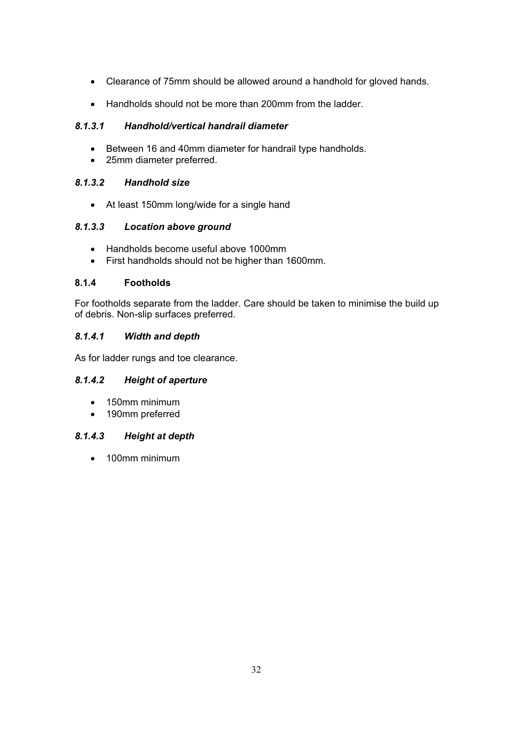- Clearance of 75mm should be allowed around a handhold for gloved hands.
- Handholds should not be more than 200mm from the ladder.

# *8.1.3.1 Handhold/vertical handrail diameter*

- Between 16 and 40mm diameter for handrail type handholds.
- 25mm diameter preferred.

# *8.1.3.2 Handhold size*

• At least 150mm long/wide for a single hand

# *8.1.3.3 Location above ground*

- Handholds become useful above 1000mm
- First handholds should not be higher than 1600mm.

# **8.1.4 Footholds**

For footholds separate from the ladder. Care should be taken to minimise the build up of debris. Non-slip surfaces preferred.

# *8.1.4.1 Width and depth*

As for ladder rungs and toe clearance.

# *8.1.4.2 Height of aperture*

- $\bullet$  150mm minimum
- 190mm preferred

# *8.1.4.3 Height at depth*

 $\bullet$  100mm minimum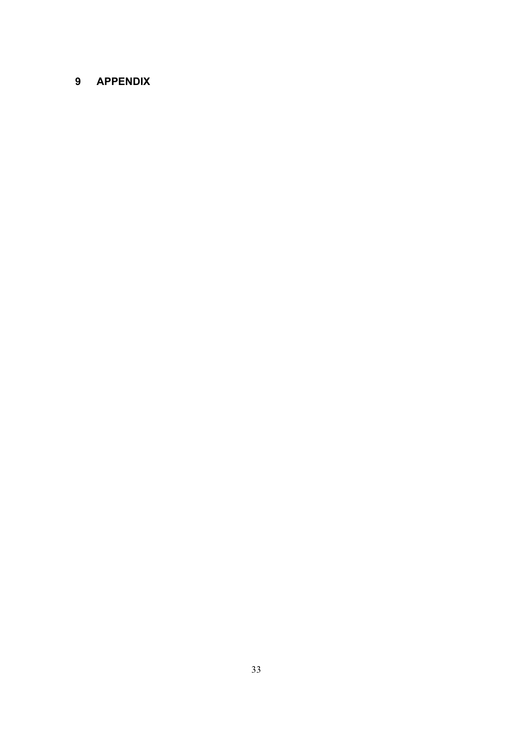# **9 APPENDIX**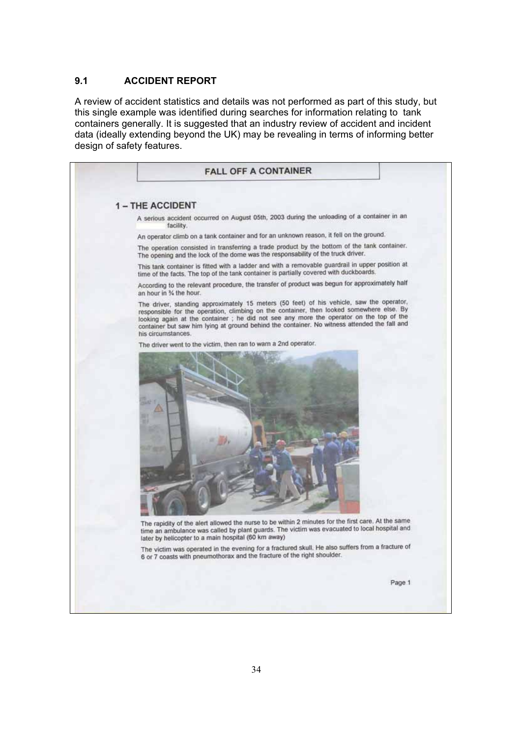### **9.1 ACCIDENT REPORT**

A review of accident statistics and details was not performed as part of this study, but this single example was identified during searches for information relating to tank containers generally. It is suggested that an industry review of accident and incident data (ideally extending beyond the UK) may be revealing in terms of informing better design of safety features.

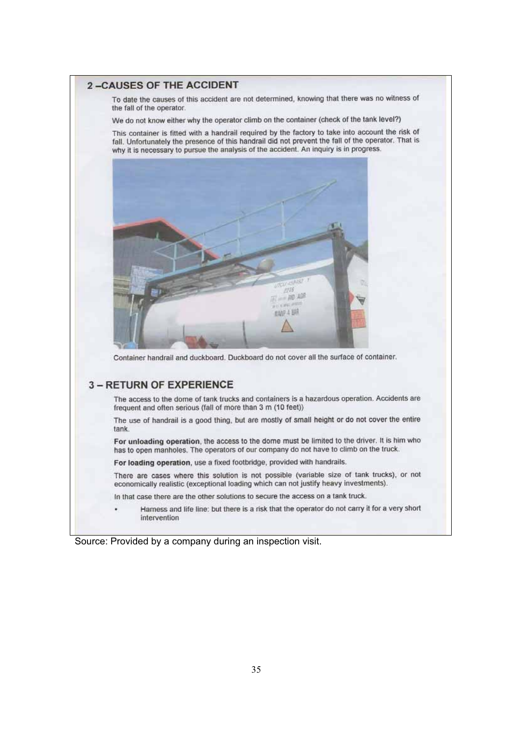#### **2-CAUSES OF THE ACCIDENT**

To date the causes of this accident are not determined, knowing that there was no witness of the fall of the operator.

We do not know either why the operator climb on the container (check of the tank level?)

This container is fitted with a handrail required by the factory to take into account the risk of fall. Unfortunately the presence of this handrail did not prevent the fall of the operator. That is why it is necessary to pursue the analysis of the accident. An inquiry is in progress.



Container handrail and duckboard. Duckboard do not cover all the surface of container.

#### **3 - RETURN OF EXPERIENCE**

The access to the dome of tank trucks and containers is a hazardous operation. Accidents are frequent and often serious (fall of more than 3 m (10 feet))

The use of handrail is a good thing, but are mostly of small height or do not cover the entire tank.

For unloading operation, the access to the dome must be limited to the driver. It is him who has to open manholes. The operators of our company do not have to climb on the truck.

For loading operation, use a fixed footbridge, provided with handrails.

There are cases where this solution is not possible (variable size of tank trucks), or not economically realistic (exceptional loading which can not justify heavy investments).

In that case there are the other solutions to secure the access on a tank truck.

Hamess and life line: but there is a risk that the operator do not carry it for a very short intervention

Source: Provided by a company during an inspection visit.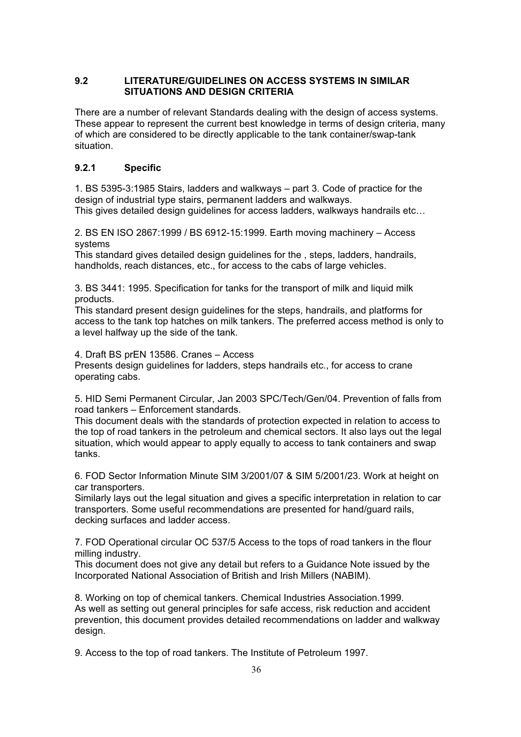### **9.2 LITERATURE/GUIDELINES ON ACCESS SYSTEMS IN SIMILAR SITUATIONS AND DESIGN CRITERIA**

There are a number of relevant Standards dealing with the design of access systems. These appear to represent the current best knowledge in terms of design criteria, many of which are considered to be directly applicable to the tank container/swap-tank situation.

# **9.2.1 Specific**

1. BS 5395-3:1985 Stairs, ladders and walkways – part 3. Code of practice for the design of industrial type stairs, permanent ladders and walkways.

This gives detailed design guidelines for access ladders, walkways handrails etc…

2. BS EN ISO 2867:1999 / BS 6912-15:1999. Earth moving machinery – Access systems

This standard gives detailed design guidelines for the , steps, ladders, handrails, handholds, reach distances, etc., for access to the cabs of large vehicles.

3. BS 3441: 1995. Specification for tanks for the transport of milk and liquid milk products.

This standard present design guidelines for the steps, handrails, and platforms for access to the tank top hatches on milk tankers. The preferred access method is only to a level halfway up the side of the tank.

4. Draft BS prEN 13586. Cranes – Access

Presents design guidelines for ladders, steps handrails etc., for access to crane operating cabs.

5. HID Semi Permanent Circular, Jan 2003 SPC/Tech/Gen/04. Prevention of falls from road tankers – Enforcement standards.

This document deals with the standards of protection expected in relation to access to the top of road tankers in the petroleum and chemical sectors. It also lays out the legal situation, which would appear to apply equally to access to tank containers and swap tanks.

6. FOD Sector Information Minute SIM 3/2001/07 & SIM 5/2001/23. Work at height on car transporters.

Similarly lays out the legal situation and gives a specific interpretation in relation to car transporters. Some useful recommendations are presented for hand/guard rails, decking surfaces and ladder access.

7. FOD Operational circular OC 537/5 Access to the tops of road tankers in the flour milling industry.

This document does not give any detail but refers to a Guidance Note issued by the Incorporated National Association of British and Irish Millers (NABIM).

8. Working on top of chemical tankers. Chemical Industries Association.1999. As well as setting out general principles for safe access, risk reduction and accident prevention, this document provides detailed recommendations on ladder and walkway design.

9. Access to the top of road tankers. The Institute of Petroleum 1997.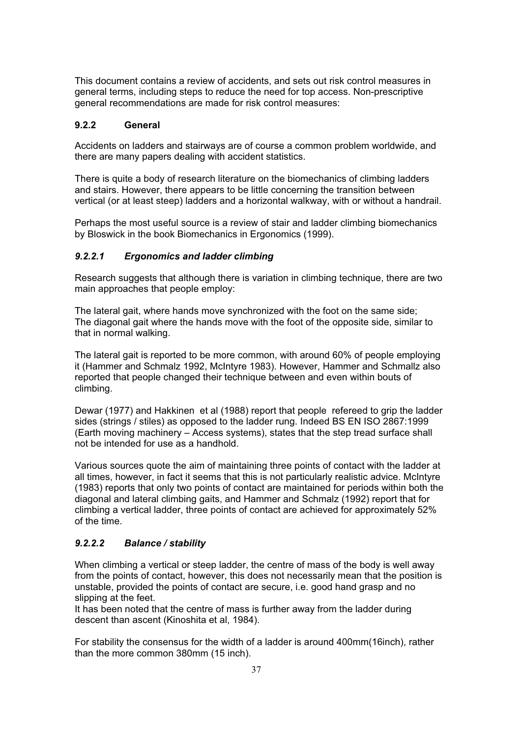This document contains a review of accidents, and sets out risk control measures in general terms, including steps to reduce the need for top access. Non-prescriptive general recommendations are made for risk control measures:

### **9.2.2 General**

Accidents on ladders and stairways are of course a common problem worldwide, and there are many papers dealing with accident statistics.

There is quite a body of research literature on the biomechanics of climbing ladders and stairs. However, there appears to be little concerning the transition between vertical (or at least steep) ladders and a horizontal walkway, with or without a handrail.

Perhaps the most useful source is a review of stair and ladder climbing biomechanics by Bloswick in the book Biomechanics in Ergonomics (1999).

#### *9.2.2.1 Ergonomics and ladder climbing*

Research suggests that although there is variation in climbing technique, there are two main approaches that people employ:

The lateral gait, where hands move synchronized with the foot on the same side; The diagonal gait where the hands move with the foot of the opposite side, similar to that in normal walking.

The lateral gait is reported to be more common, with around 60% of people employing it (Hammer and Schmalz 1992, McIntyre 1983). However, Hammer and Schmallz also reported that people changed their technique between and even within bouts of climbing.

Dewar (1977) and Hakkinen et al (1988) report that people refereed to grip the ladder sides (strings / stiles) as opposed to the ladder rung. Indeed BS EN ISO 2867:1999 (Earth moving machinery – Access systems), states that the step tread surface shall not be intended for use as a handhold.

Various sources quote the aim of maintaining three points of contact with the ladder at all times, however, in fact it seems that this is not particularly realistic advice. McIntyre (1983) reports that only two points of contact are maintained for periods within both the diagonal and lateral climbing gaits, and Hammer and Schmalz (1992) report that for climbing a vertical ladder, three points of contact are achieved for approximately 52% of the time.

### *9.2.2.2 Balance / stability*

When climbing a vertical or steep ladder, the centre of mass of the body is well away from the points of contact, however, this does not necessarily mean that the position is unstable, provided the points of contact are secure, i.e. good hand grasp and no slipping at the feet.

It has been noted that the centre of mass is further away from the ladder during descent than ascent (Kinoshita et al, 1984).

For stability the consensus for the width of a ladder is around 400mm(16inch), rather than the more common 380mm (15 inch).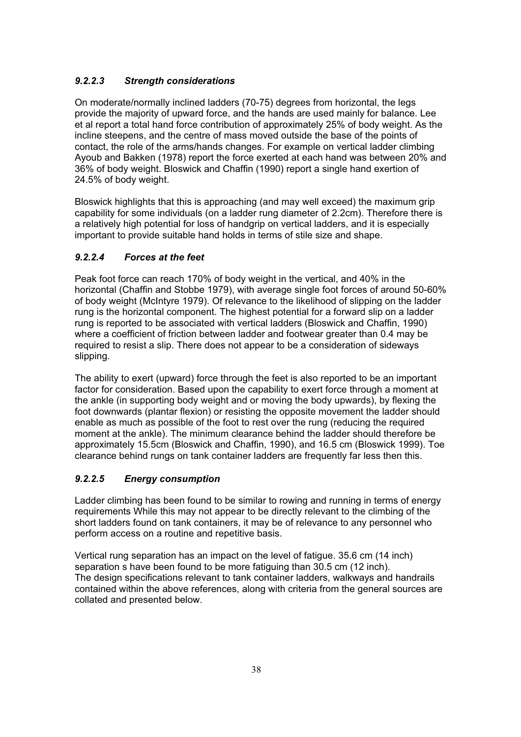# *9.2.2.3 Strength considerations*

On moderate/normally inclined ladders (70-75) degrees from horizontal, the legs provide the majority of upward force, and the hands are used mainly for balance. Lee et al report a total hand force contribution of approximately 25% of body weight. As the incline steepens, and the centre of mass moved outside the base of the points of contact, the role of the arms/hands changes. For example on vertical ladder climbing Ayoub and Bakken (1978) report the force exerted at each hand was between 20% and 36% of body weight. Bloswick and Chaffin (1990) report a single hand exertion of 24.5% of body weight.

Bloswick highlights that this is approaching (and may well exceed) the maximum grip capability for some individuals (on a ladder rung diameter of 2.2cm). Therefore there is a relatively high potential for loss of handgrip on vertical ladders, and it is especially important to provide suitable hand holds in terms of stile size and shape.

# *9.2.2.4 Forces at the feet*

Peak foot force can reach 170% of body weight in the vertical, and 40% in the horizontal (Chaffin and Stobbe 1979), with average single foot forces of around 50-60% of body weight (McIntyre 1979). Of relevance to the likelihood of slipping on the ladder rung is the horizontal component. The highest potential for a forward slip on a ladder rung is reported to be associated with vertical ladders (Bloswick and Chaffin, 1990) where a coefficient of friction between ladder and footwear greater than 0.4 may be required to resist a slip. There does not appear to be a consideration of sideways slipping.

The ability to exert (upward) force through the feet is also reported to be an important factor for consideration. Based upon the capability to exert force through a moment at the ankle (in supporting body weight and or moving the body upwards), by flexing the foot downwards (plantar flexion) or resisting the opposite movement the ladder should enable as much as possible of the foot to rest over the rung (reducing the required moment at the ankle). The minimum clearance behind the ladder should therefore be approximately 15.5cm (Bloswick and Chaffin, 1990), and 16.5 cm (Bloswick 1999). Toe clearance behind rungs on tank container ladders are frequently far less then this.

# *9.2.2.5 Energy consumption*

Ladder climbing has been found to be similar to rowing and running in terms of energy requirements While this may not appear to be directly relevant to the climbing of the short ladders found on tank containers, it may be of relevance to any personnel who perform access on a routine and repetitive basis.

Vertical rung separation has an impact on the level of fatigue. 35.6 cm (14 inch) separation s have been found to be more fatiguing than 30.5 cm (12 inch). The design specifications relevant to tank container ladders, walkways and handrails contained within the above references, along with criteria from the general sources are collated and presented below.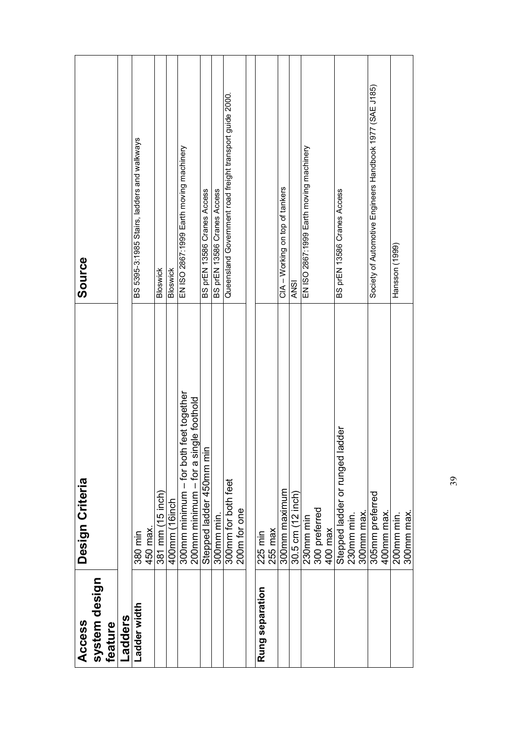| Access                   | Design Criteria                           | Source                                                   |
|--------------------------|-------------------------------------------|----------------------------------------------------------|
| system design<br>feature |                                           |                                                          |
| Ladders                  |                                           |                                                          |
| Ladder width             | 380 min                                   | BS 5395-3:1985 Stairs, ladders and walkways              |
|                          | 450 max.                                  |                                                          |
|                          | 381 mm (15 inch)                          | <b>Bloswick</b>                                          |
|                          | 400mm (16inch                             | Bloswick                                                 |
|                          | feet together<br>300mm minimum – for both | EN ISO 2867:1999 Earth moving machinery                  |
|                          | 200mm minimum - for a single foothold     |                                                          |
|                          | Stepped ladder 450mm min                  | BS prEN 13586 Cranes Access                              |
|                          | 300mm min.                                | BS prEN 13586 Cranes Access                              |
|                          | 300mm for both feet                       | Queensland Government road freight transport guide 2000. |
|                          | 200m for one                              |                                                          |
|                          |                                           |                                                          |
| Rung separation          | 225 min                                   |                                                          |
|                          | $255$ max                                 |                                                          |
|                          | 300mm maximum                             | CIA - Working on top of tankers                          |
|                          | 30.5 cm (12 inch)                         | ANSI                                                     |
|                          | 230mm min                                 | EN ISO 2867:1999 Earth moving machinery                  |
|                          | 300 preferred<br>400 max                  |                                                          |
|                          |                                           |                                                          |
|                          | Stepped ladder or runged ladder           | BS prEN 13586 Cranes Access                              |
|                          | 230mm min.                                |                                                          |
|                          | 300mm max.                                |                                                          |
|                          | 305mm preferred                           | Society of Automotive Engineers Handbook 1977 (SAE J185) |
|                          | 400mm max.                                |                                                          |
|                          | 200mm min.                                | Hansson (1999)                                           |
|                          | 300mm max                                 |                                                          |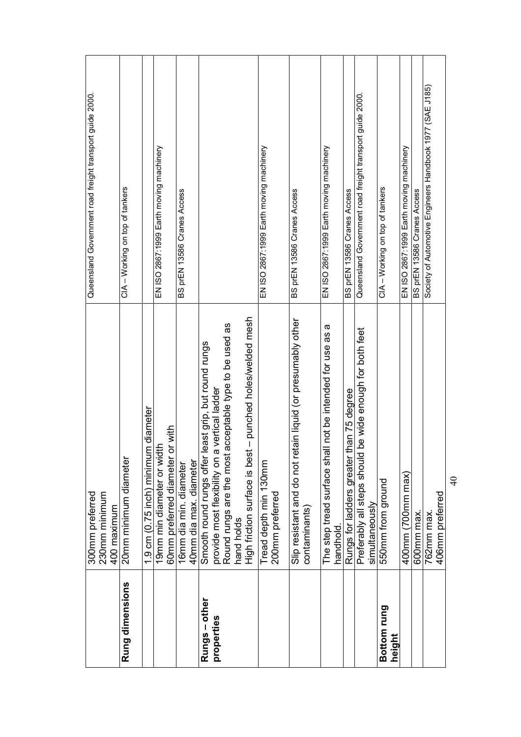|                       | 230mm minimum<br>300mm preferred                                                             | Queensland Government road freight transport guide 2000. |
|-----------------------|----------------------------------------------------------------------------------------------|----------------------------------------------------------|
|                       | 400 maximum                                                                                  |                                                          |
| Rung dimensions       | 20mm minimum diameter                                                                        | CIA - Working on top of tankers                          |
|                       | 1.9 cm (0.75 inch) minimum diameter                                                          |                                                          |
|                       | 19mm min diameter or width                                                                   | EN ISO 2867:1999 Earth moving machinery                  |
|                       | 60mm preferred diameter or with                                                              |                                                          |
|                       | 16mm dia min. diameter                                                                       | BS prEN 13586 Cranes Access                              |
|                       | 40mm dia max. diameter                                                                       |                                                          |
| Rungs - other         | Smooth round rungs offer least grip, but round rungs                                         |                                                          |
| properties            | provide most flexibility on a vertical ladder                                                |                                                          |
|                       | Round rungs are the most acceptable type to be used as                                       |                                                          |
|                       | punched holes/welded mesh<br>$\mathsf I$<br>High friction surface is best<br>hand holds      |                                                          |
|                       |                                                                                              |                                                          |
|                       | Tread depth min 130mm<br>200mm preferred                                                     | EN ISO 2867:1999 Earth moving machinery                  |
|                       | Slip resistant and do not retain liquid (or presumably other<br>contaminants)                | BS prEN 13586 Cranes Access                              |
|                       | $\boldsymbol{\varpi}$<br>The step tread surface shall not be intended for use as<br>handhold | EN ISO 2867:1999 Earth moving machinery                  |
|                       | Rungs for ladders greater than 75 degree                                                     | BS prEN 13586 Cranes Access                              |
|                       | be wide enough for both feet<br>Preferably all steps should<br>simultaneously                | Queensland Government road freight transport guide 2000. |
| Bottom rung<br>height | 550mm from ground                                                                            | CIA - Working on top of tankers                          |
|                       | 400mm (700mm max)                                                                            | EN ISO 2867:1999 Earth moving machinery                  |
|                       | 600mm max.                                                                                   | BS prEN 13586 Cranes Access                              |
|                       | 762mm max.                                                                                   | Society of Automotive Engineers Handbook 1977 (SAE J185) |
|                       | 406mm preferred                                                                              |                                                          |
|                       | $\frac{1}{4}$                                                                                |                                                          |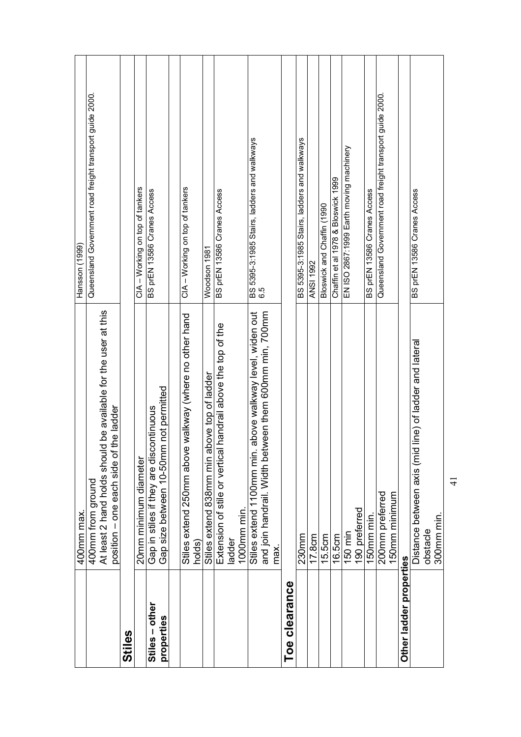|                              | 400mm max.                                                                                                            | Hansson (1999)                                           |
|------------------------------|-----------------------------------------------------------------------------------------------------------------------|----------------------------------------------------------|
|                              | 400mm from ground                                                                                                     | Queensland Government road freight transport guide 2000. |
|                              | At least 2 hand holds should be available for the user at this                                                        |                                                          |
|                              | position – one each side of the ladder                                                                                |                                                          |
| Stiles                       |                                                                                                                       |                                                          |
|                              | 20mm minimum diameter                                                                                                 | CIA - Working on top of tankers                          |
| Stiles - other<br>properties | Gap size between 10-50mm not permitted<br>Gap in stiles if they are discontinuous                                     | BS prEN 13586 Cranes Access                              |
|                              |                                                                                                                       |                                                          |
|                              | Stiles extend 250mm above walkway (where no other hand                                                                | CIA - Working on top of tankers                          |
|                              | holds)                                                                                                                |                                                          |
|                              | Stiles extend 838mm min above top of ladder                                                                           | Woodson 1981                                             |
|                              | Extension of stile or vertical handrail above the top of the                                                          | BS prEN 13586 Cranes Access                              |
|                              | ladder                                                                                                                |                                                          |
|                              | 1000mm min.                                                                                                           |                                                          |
|                              | and join handrail. Width between them 600mm min, 700mm<br>above walkway level, widen out<br>Stiles extend 1100mm min. | BS 5395-3:1985 Stairs, ladders and walkways<br>6.5       |
|                              | max.                                                                                                                  |                                                          |
| clearance<br>Toe             |                                                                                                                       |                                                          |
|                              | $230$ mm                                                                                                              | BS 5395-3:1985 Stairs, ladders and walkways              |
|                              | 17.8cm                                                                                                                | <b>ANSI 1992</b>                                         |
|                              | 15.5cm                                                                                                                | Bloswick and Chaffin (1990                               |
|                              | 16.5cm                                                                                                                | Chaffin et al 1978 & Bloswick 1999                       |
|                              | 150 min                                                                                                               | EN ISO 2867:1999 Earth moving machinery                  |
|                              | 190 preferred                                                                                                         |                                                          |
|                              | 150mm min                                                                                                             | BS prEN 13586 Cranes Access                              |
|                              | 200mm preferred                                                                                                       | Queensland Government road freight transport guide 2000. |
|                              | 150mm minimum                                                                                                         |                                                          |
| Other ladder properties      |                                                                                                                       |                                                          |
|                              | Distance between axis (mid line) of ladder and lateral                                                                | BS prEN 13586 Cranes Access                              |
|                              | 300mm min.<br>obstacle                                                                                                |                                                          |
|                              |                                                                                                                       |                                                          |

 $\frac{1}{4}$ 41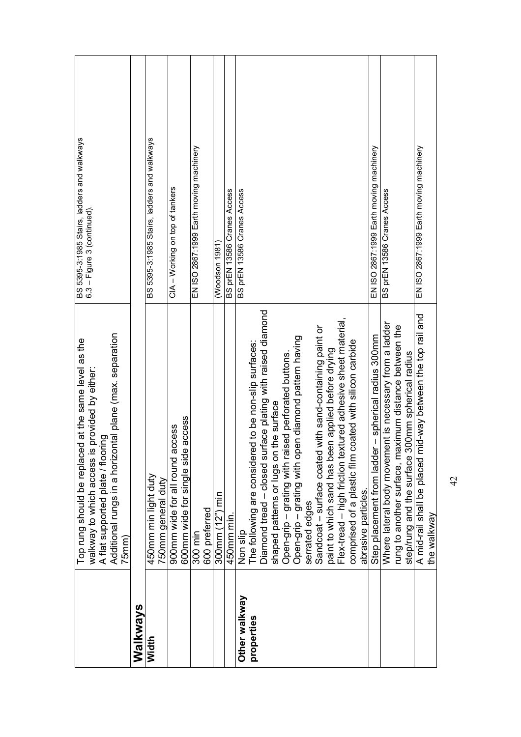| BS 5395-3:1985 Stairs, ladders and walkways<br>6.3 – Figure 3 (continued).                                                                                                                                            |          | BS 5395-3:1985 Stairs, ladders and walkways | CIA - Working on top of tankers                                             | EN ISO 2867:1999 Earth moving machinery | (Woodson 1981)       | BS prEN 13586 Cranes Access | BS prEN 13586 Cranes Access | EN ISO 2867:1999 Earth moving machinery<br>BS prEN 13586 Cranes Access                                                                                                                                                                                                                                                                                                                                                                                                                                                                                                                                                                                                                                                                                                                          | EN ISO 2867:1999 Earth moving machinery                                    |
|-----------------------------------------------------------------------------------------------------------------------------------------------------------------------------------------------------------------------|----------|---------------------------------------------|-----------------------------------------------------------------------------|-----------------------------------------|----------------------|-----------------------------|-----------------------------|-------------------------------------------------------------------------------------------------------------------------------------------------------------------------------------------------------------------------------------------------------------------------------------------------------------------------------------------------------------------------------------------------------------------------------------------------------------------------------------------------------------------------------------------------------------------------------------------------------------------------------------------------------------------------------------------------------------------------------------------------------------------------------------------------|----------------------------------------------------------------------------|
| Additional rungs in a horizontal plane (max. separation<br>Top rung should be replaced at the same level as the<br>walkway to which access is provided by either:<br>A flat supported plate / flooring<br>$75$ mm $)$ |          | 450mm min light duty<br>750mm general duty  | access<br>ccess<br>900mm wide for all round a<br>600mm wide for single side | 600 preferred<br>300 min                | nin<br>300 $mm(12")$ | 450mm min.                  | Non slip                    | Diamond tread - closed surface plating with raised diamond<br>Flex-tread - high friction textured adhesive sheet material,<br>Where lateral body movement is necessary from a ladder<br>Sandcoat - surface coated with sand-containing paint or<br>rung to another surface, maximum distance between the<br>Step placement from ladder - spherical radius 300mm<br>Open-grip – grating with raised perforated buttons.<br>Open-grip – grating with open diamond pattern having<br>comprised of a plastic film coated with silicon carbide<br>The following are considered to be non-slip surfaces:<br>paint to which sand has been applied before drying<br>step/rung and the surface 300mm spherical radius<br>shaped patterns or lugs on the surface<br>abrasive particles.<br>serrated edges | A mid-rail shall be placed mid-way between the top rail and<br>the walkway |
|                                                                                                                                                                                                                       | Walkways | Width                                       |                                                                             |                                         |                      |                             | Other walkway               | properties                                                                                                                                                                                                                                                                                                                                                                                                                                                                                                                                                                                                                                                                                                                                                                                      |                                                                            |

 $\overline{4}$ 42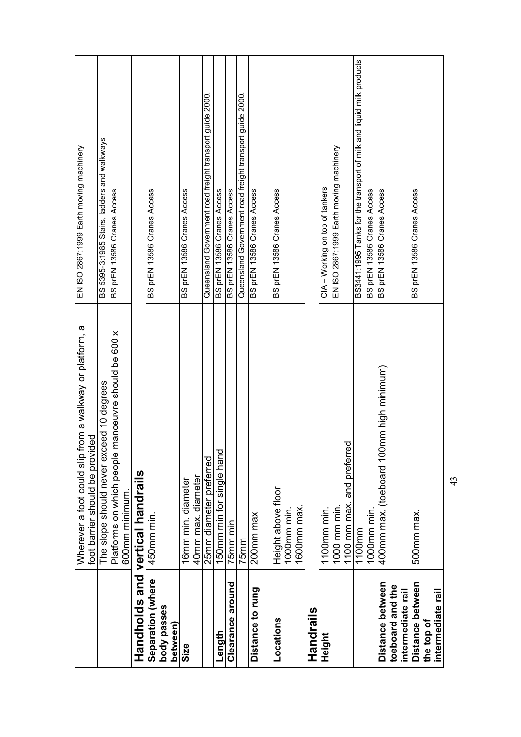|                                       | from a walkway or platform, a<br>ded<br>foot barrier should be provi<br>Wherever a foot could slip | EN ISO 2867:1999 Earth moving machinery                              |
|---------------------------------------|----------------------------------------------------------------------------------------------------|----------------------------------------------------------------------|
|                                       | The slope should never exceed 10 degrees                                                           | BS 5395-3:1985 Stairs, ladders and walkways                          |
|                                       | manoeuvre should be 600 x<br>Platforms on which people<br>600mm minimum                            | BS prEN 13586 Cranes Access                                          |
|                                       | Handholds and vertical handrails                                                                   |                                                                      |
| Separation (where                     | 450mm min.                                                                                         | BS prEN 13586 Cranes Access                                          |
| body passes<br>between)               |                                                                                                    |                                                                      |
| Size                                  | 16mm min. diameter                                                                                 | BS prEN 13586 Cranes Access                                          |
|                                       | 40mm max. diameter                                                                                 |                                                                      |
|                                       | 25mm diameter preferred                                                                            | Queensland Government road freight transport guide 2000.             |
| Length                                | 150mm min for single hand                                                                          | BS prEN 13586 Cranes Access                                          |
| Clearance around                      | 75mm min                                                                                           | BS prEN 13586 Cranes Access                                          |
|                                       | 75 <sub>mm</sub>                                                                                   | Queensland Government road freight transport guide 2000.             |
| Distance to rung                      | 200 <sub>mm</sub> max                                                                              | BS prEN 13586 Cranes Access                                          |
|                                       |                                                                                                    |                                                                      |
| Locations                             | Height above floor                                                                                 | BS prEN 13586 Cranes Access                                          |
|                                       | 1000mm min.                                                                                        |                                                                      |
|                                       | 1600mm max.                                                                                        |                                                                      |
| Handrails                             |                                                                                                    |                                                                      |
| <b>Height</b>                         | 1100mm min.                                                                                        | CIA - Working on top of tankers                                      |
|                                       | 1000 mm min.                                                                                       | EN ISO 2867:1999 Earth moving machinery                              |
|                                       | 1100 mm max. and preferred                                                                         |                                                                      |
|                                       | 1100mm                                                                                             | BS3441:1995 Tanks for the transport of milk and liquid milk products |
|                                       | 1000mm min.                                                                                        | BS prEN 13586 Cranes Access                                          |
| Distance between                      | 400mm max. (toeboard 100mm high minimum)                                                           | BS prEN 13586 Cranes Access                                          |
| toeboard and the<br>intermediate rail |                                                                                                    |                                                                      |
|                                       |                                                                                                    |                                                                      |
| Distance between                      | 500mm max.                                                                                         | BS prEN 13586 Cranes Access                                          |
| intermediate rail<br>the top of       |                                                                                                    |                                                                      |
|                                       |                                                                                                    |                                                                      |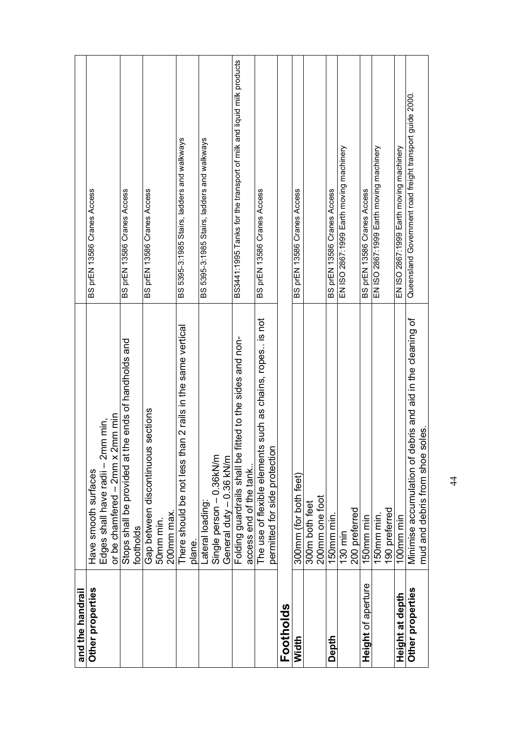| and the handrail          |                                                                                                  |                                                                      |
|---------------------------|--------------------------------------------------------------------------------------------------|----------------------------------------------------------------------|
| Other properties          | Have smooth surfaces                                                                             | BS prEN 13586 Cranes Access                                          |
|                           | or be chamfered - 2mm x 2mm min<br>Edges shall have radii - 2mm min,                             |                                                                      |
|                           | the ends of handholds and<br>Stops shall be provided at 1<br>footholds                           | BS prEN 13586 Cranes Access                                          |
|                           | Gap between discontinuous sections<br>50mm min.                                                  | BS prEN 13586 Cranes Access                                          |
|                           | 200mm max.                                                                                       |                                                                      |
|                           | There should be not less than 2 rails in the same vertical                                       | BS 5395-3:1985 Stairs, ladders and walkways                          |
|                           | plane.                                                                                           |                                                                      |
|                           | Lateral loading:                                                                                 | BS 5395-3:1985 Stairs, ladders and walkways                          |
|                           | Single person - 0.36kN/m                                                                         |                                                                      |
|                           | General duty - 0.36 kN/m                                                                         |                                                                      |
|                           | fitted to the sides and non-<br>Folding guardrails shall be                                      | BS3441:1995 Tanks for the transport of milk and liquid milk products |
|                           | access end of the tank                                                                           |                                                                      |
|                           | The use of flexible elements such as chains, ropes is not<br>permitted for side protection       | BS prEN 13586 Cranes Access                                          |
| Footholds                 |                                                                                                  |                                                                      |
| Width                     | 300mm (for both feet)                                                                            | BS prEN 13586 Cranes Access                                          |
|                           | 300m both feet                                                                                   |                                                                      |
|                           | 200mm one foot                                                                                   |                                                                      |
| Depth                     | 150mm min.                                                                                       | BS prEN 13586 Cranes Access                                          |
|                           | 130 min                                                                                          | EN ISO 2867:1999 Earth moving machinery                              |
|                           | 200 preferred                                                                                    |                                                                      |
| <b>Height of aperture</b> | 150mm min                                                                                        | BS prEN 13586 Cranes Access                                          |
|                           | 150mm min.                                                                                       | EN ISO 2867:1999 Earth moving machinery                              |
|                           | 190 preferred                                                                                    |                                                                      |
| Height at depth           | 100mm min                                                                                        | EN ISO 2867:1999 Earth moving machinery                              |
| Other properties          | Minimise accumulation of debris and aid in the cleaning of<br>soles.<br>mud and debris from shoe | Queensland Government road freight transport guide 2000.             |
|                           |                                                                                                  |                                                                      |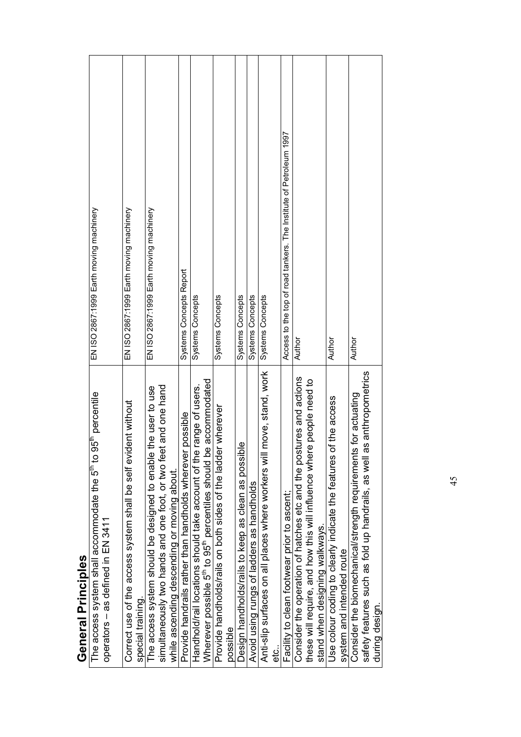| 95 <sup>th</sup> percentile<br>The access system shall accommodate the 5 <sup>th</sup> to ! | EN ISO 2867:1999 Earth moving machinery                            |
|---------------------------------------------------------------------------------------------|--------------------------------------------------------------------|
| operators - as defined in EN 3411                                                           |                                                                    |
| Correct use of the access system shall be self evident without<br>special training.         | EN ISO 2867:1999 Earth moving machinery                            |
| The access system should be designed to enable the user to use                              | EN ISO 2867:1999 Earth moving machinery                            |
| simultaneously two hands and one foot, or two feet and one hand                             |                                                                    |
| while ascending descending or moving about.                                                 |                                                                    |
| Provide handrails rather than handholds wherever possible                                   | Systems Concepts Report                                            |
| Handhold/rail locations should take account of the range of users                           | Systems Concepts                                                   |
| Wherever possible 5 <sup>th</sup> to 95 <sup>th</sup> percentiles should be accommodated    |                                                                    |
| Provide handholds/rails on both sides of the ladder wherever                                | Systems Concepts                                                   |
| possible                                                                                    |                                                                    |
| $\overline{\bullet}$<br>Design handholds/rails to keep as clean as possib                   | Systems Concepts                                                   |
| Avoid using rungs of ladders as handholds                                                   | <b>Systems Concepts</b>                                            |
| move, stand, work<br>Anti-slip surfaces on all places where workers will                    | Systems Concepts                                                   |
| ن<br>etc                                                                                    |                                                                    |
| Facility to clean footwear prior to ascent;                                                 | Access to the top of road tankers. The Institute of Petroleum 1997 |
| Consider the operation of hatches etc and the postures and actions                          | Author                                                             |
| these will require, and how this will influence where people need to                        |                                                                    |
| stand when designing walkways.                                                              |                                                                    |
| of the access<br>Use colour coding to clearly indicate the features o                       | Author                                                             |
| system and intended route                                                                   |                                                                    |
| Consider the biomechanical/strength requirements for actuating                              | Author                                                             |
| safety features such as fold up handrails, as well as anthropometrics                       |                                                                    |
| during design                                                                               |                                                                    |
|                                                                                             |                                                                    |

**General Principles General Principles**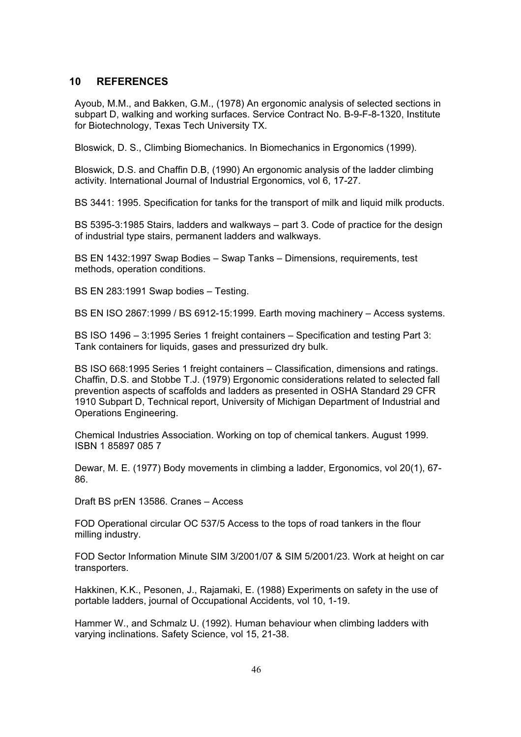#### **10 REFERENCES**

Ayoub, M.M., and Bakken, G.M., (1978) An ergonomic analysis of selected sections in subpart D, walking and working surfaces. Service Contract No. B-9-F-8-1320, Institute for Biotechnology, Texas Tech University TX.

Bloswick, D. S., Climbing Biomechanics. In Biomechanics in Ergonomics (1999).

Bloswick, D.S. and Chaffin D.B, (1990) An ergonomic analysis of the ladder climbing activity. International Journal of Industrial Ergonomics, vol 6, 17-27.

BS 3441: 1995. Specification for tanks for the transport of milk and liquid milk products.

BS 5395-3:1985 Stairs, ladders and walkways – part 3. Code of practice for the design of industrial type stairs, permanent ladders and walkways.

BS EN 1432:1997 Swap Bodies – Swap Tanks – Dimensions, requirements, test methods, operation conditions.

BS EN 283:1991 Swap bodies – Testing.

BS EN ISO 2867:1999 / BS 6912-15:1999. Earth moving machinery – Access systems.

BS ISO 1496 – 3:1995 Series 1 freight containers – Specification and testing Part 3: Tank containers for liquids, gases and pressurized dry bulk.

BS ISO 668:1995 Series 1 freight containers – Classification, dimensions and ratings. Chaffin, D.S. and Stobbe T.J. (1979) Ergonomic considerations related to selected fall prevention aspects of scaffolds and ladders as presented in OSHA Standard 29 CFR 1910 Subpart D, Technical report, University of Michigan Department of Industrial and Operations Engineering.

Chemical Industries Association. Working on top of chemical tankers. August 1999. ISBN 1 85897 085 7

Dewar, M. E. (1977) Body movements in climbing a ladder, Ergonomics, vol 20(1), 67- 86.

Draft BS prEN 13586. Cranes – Access

FOD Operational circular OC 537/5 Access to the tops of road tankers in the flour milling industry.

FOD Sector Information Minute SIM 3/2001/07 & SIM 5/2001/23. Work at height on car transporters.

Hakkinen, K.K., Pesonen, J., Rajamaki, E. (1988) Experiments on safety in the use of portable ladders, journal of Occupational Accidents, vol 10, 1-19.

Hammer W., and Schmalz U. (1992). Human behaviour when climbing ladders with varying inclinations. Safety Science, vol 15, 21-38.